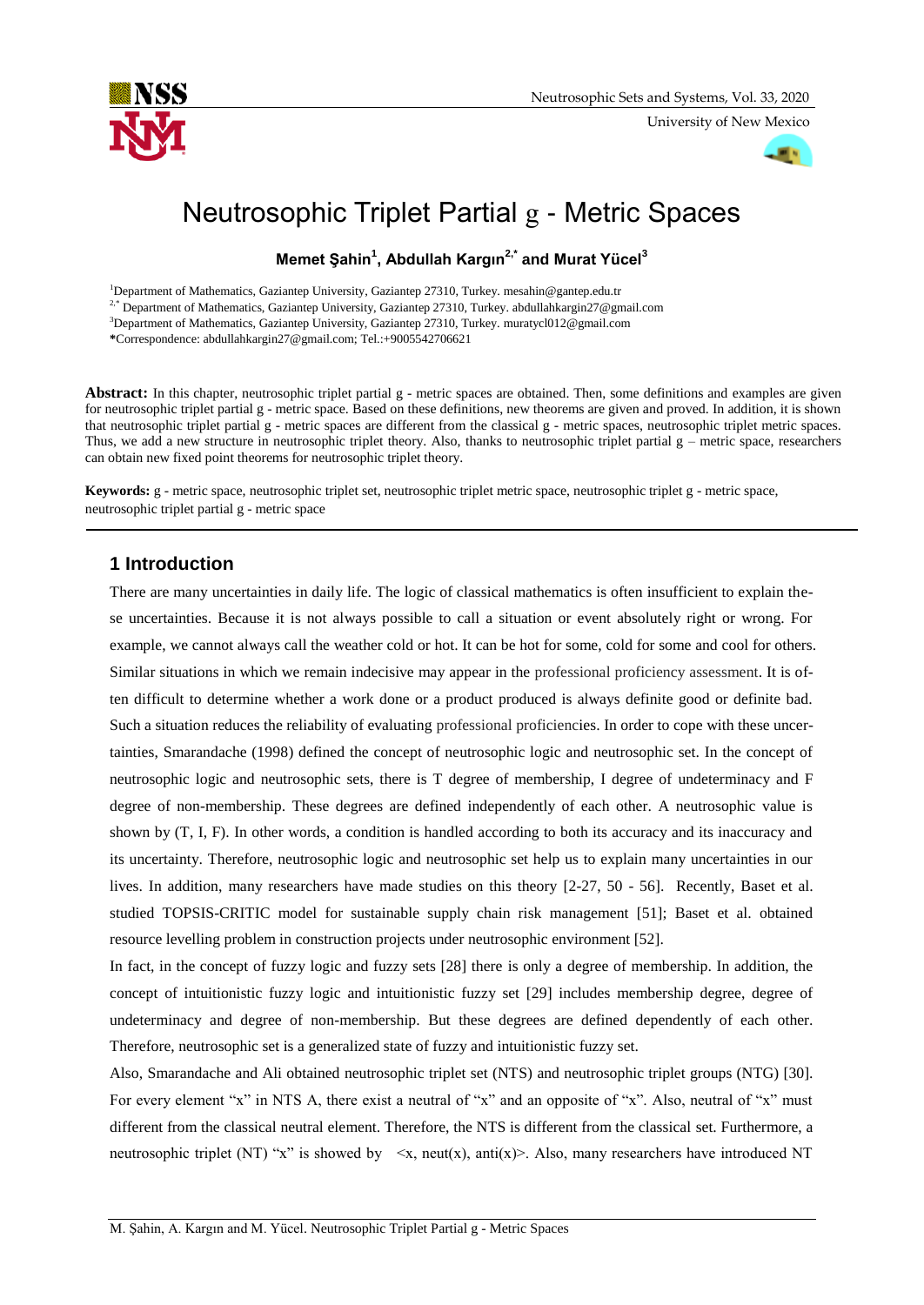

University of New Mexico



# Neutrosophic Triplet Partial g - Metric Spaces

**Memet Şahin<sup>1</sup> , Abdullah Kargın2,\* and Murat Yücel<sup>3</sup>**

<sup>1</sup>Department of Mathematics, Gaziantep University, Gaziantep 27310, Turkey. mesahin@gantep.edu.tr

<sup>2,\*</sup> Department of Mathematics, Gaziantep University, Gaziantep 27310, Turkey. abdullahkargin27@gmail.com

<sup>3</sup>Department of Mathematics, Gaziantep University, Gaziantep 27310, Turkey. muratycl012@gmail.com

**\***Correspondence: abdullahkargin27@gmail.com; Tel.:+9005542706621

Abstract: In this chapter, neutrosophic triplet partial g - metric spaces are obtained. Then, some definitions and examples are given for neutrosophic triplet partial g - metric space. Based on these definitions, new theorems are given and proved. In addition, it is shown that neutrosophic triplet partial g - metric spaces are different from the classical g - metric spaces, neutrosophic triplet metric spaces. Thus, we add a new structure in neutrosophic triplet theory. Also, thanks to neutrosophic triplet partial  $g$  – metric space, researchers can obtain new fixed point theorems for neutrosophic triplet theory.

**Keywords:** g - metric space, neutrosophic triplet set, neutrosophic triplet metric space, neutrosophic triplet g - metric space, neutrosophic triplet partial g - metric space

# **1 Introduction**

There are many uncertainties in daily life. The logic of classical mathematics is often insufficient to explain these uncertainties. Because it is not always possible to call a situation or event absolutely right or wrong. For example, we cannot always call the weather cold or hot. It can be hot for some, cold for some and cool for others. Similar situations in which we remain indecisive may appear in the professional proficiency assessment. It is often difficult to determine whether a work done or a product produced is always definite good or definite bad. Such a situation reduces the reliability of evaluating professional proficiencies. In order to cope with these uncertainties, Smarandache (1998) defined the concept of neutrosophic logic and neutrosophic set. In the concept of neutrosophic logic and neutrosophic sets, there is T degree of membership, I degree of undeterminacy and F degree of non-membership. These degrees are defined independently of each other. A neutrosophic value is shown by (T, I, F). In other words, a condition is handled according to both its accuracy and its inaccuracy and its uncertainty. Therefore, neutrosophic logic and neutrosophic set help us to explain many uncertainties in our lives. In addition, many researchers have made studies on this theory [2-27, 50 - 56]. Recently, Baset et al. studied TOPSIS-CRITIC model for sustainable supply chain risk management [51]; Baset et al. obtained resource levelling problem in construction projects under neutrosophic environment [52].

In fact, in the concept of fuzzy logic and fuzzy sets [28] there is only a degree of membership. In addition, the concept of intuitionistic fuzzy logic and intuitionistic fuzzy set [29] includes membership degree, degree of undeterminacy and degree of non-membership. But these degrees are defined dependently of each other. Therefore, neutrosophic set is a generalized state of fuzzy and intuitionistic fuzzy set.

Also, Smarandache and Ali obtained neutrosophic triplet set (NTS) and neutrosophic triplet groups (NTG) [30]. For every element "x" in NTS A, there exist a neutral of "x" and an opposite of "x". Also, neutral of "x" must different from the classical neutral element. Therefore, the NTS is different from the classical set. Furthermore, a neutrosophic triplet (NT) "x" is showed by  $\langle x, \text{neut}(x), \text{anti}(x) \rangle$ . Also, many researchers have introduced NT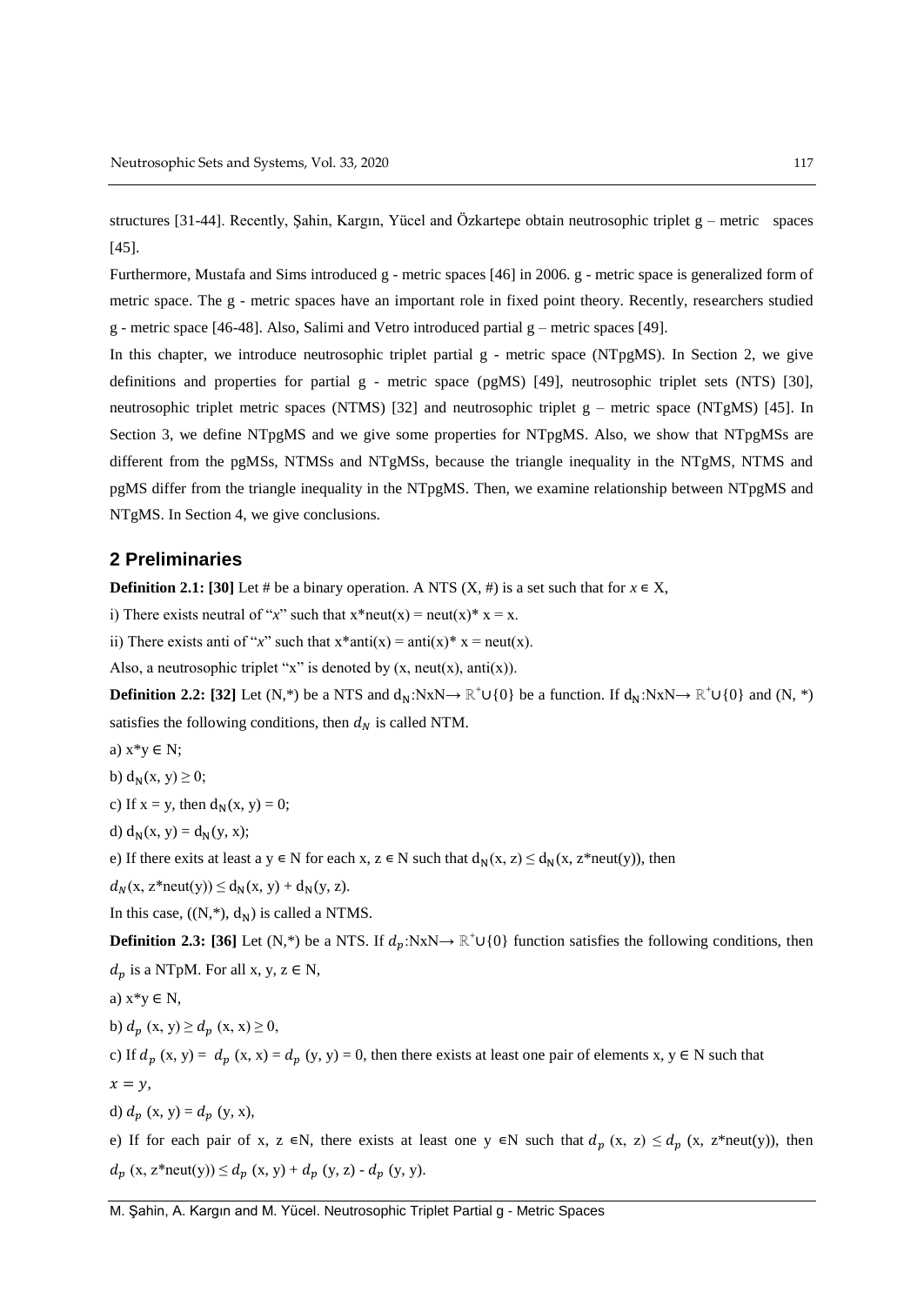structures [31-44]. Recently, Şahin, Kargın, Yücel and Özkartepe obtain neutrosophic triplet g – metric spaces [45].

Furthermore, Mustafa and Sims introduced g - metric spaces [46] in 2006. g - metric space is generalized form of metric space. The g - metric spaces have an important role in fixed point theory. Recently, researchers studied g - metric space [46-48]. Also, Salimi and Vetro introduced partial  $g$  – metric spaces [49].

In this chapter, we introduce neutrosophic triplet partial g - metric space (NTpgMS). In Section 2, we give definitions and properties for partial g - metric space (pgMS) [49], neutrosophic triplet sets (NTS) [30], neutrosophic triplet metric spaces (NTMS) [32] and neutrosophic triplet  $g$  – metric space (NTgMS) [45]. In Section 3, we define NTpgMS and we give some properties for NTpgMS. Also, we show that NTpgMSs are different from the pgMSs, NTMSs and NTgMSs, because the triangle inequality in the NTgMS, NTMS and pgMS differ from the triangle inequality in the NTpgMS. Then, we examine relationship between NTpgMS and NTgMS. In Section 4, we give conclusions.

## **2 Preliminaries**

**Definition 2.1: [30]** Let # be a binary operation. A NTS  $(X, \#)$  is a set such that for  $x \in X$ ,

i) There exists neutral of "*x*" such that  $x^*$  neut $(x) =$  neut $(x)^*$   $x = x$ .

ii) There exists anti of "*x*" such that  $x^*$  anti $(x) =$  anti $(x)^*$   $x =$  neut $(x)$ .

Also, a neutrosophic triplet "x" is denoted by  $(x, \text{neut}(x), \text{anti}(x))$ .

**Definition 2.2:** [32] Let  $(N,*)$  be a NTS and  $d_N: N \times N \rightarrow \mathbb{R}^+ \cup \{0\}$  be a function. If  $d_N: N \times N \rightarrow \mathbb{R}^+ \cup \{0\}$  and  $(N, *)$ satisfies the following conditions, then  $d_N$  is called NTM.

- a)  $x^*y \in N$ ;
- b)  $d_N(x, y) \geq 0$ ;

c) If  $x = y$ , then  $d_N(x, y) = 0$ ;

d)  $d_N(x, y) = d_N(y, x);$ 

e) If there exits at least a y  $\in$  N for each x,  $z \in N$  such that  $d_N(x, z) \le d_N(x, z^*neut(y))$ , then

 $d_N(x, z^*neut(y)) \le d_N(x, y) + d_N(y, z).$ 

In this case,  $((N, *), d_N)$  is called a NTMS.

**Definition 2.3: [36]** Let (N,\*) be a NTS. If  $d_p$ :NxN→ ℝ<sup>+</sup>∪{0} function satisfies the following conditions, then  $d_p$  is a NTpM. For all x, y,  $z \in N$ ,

a)  $x*y \in N$ ,

b)  $d_n(x, y) \geq d_n(x, x) \geq 0$ ,

c) If  $d_p(x, y) = d_p(x, x) = d_p(y, y) = 0$ , then there exists at least one pair of elements x, y  $\in N$  such that  $x = y$ ,

d)  $d_p(x, y) = d_p(y, x)$ ,

e) If for each pair of x, z  $\in$ N, there exists at least one y  $\in$ N such that  $d_p$  (x, z)  $\leq d_p$  (x, z\*neut(y)), then  $d_p(x, z^*neut(y)) \leq d_p(x, y) + d_p(y, z) - d_p(y, y).$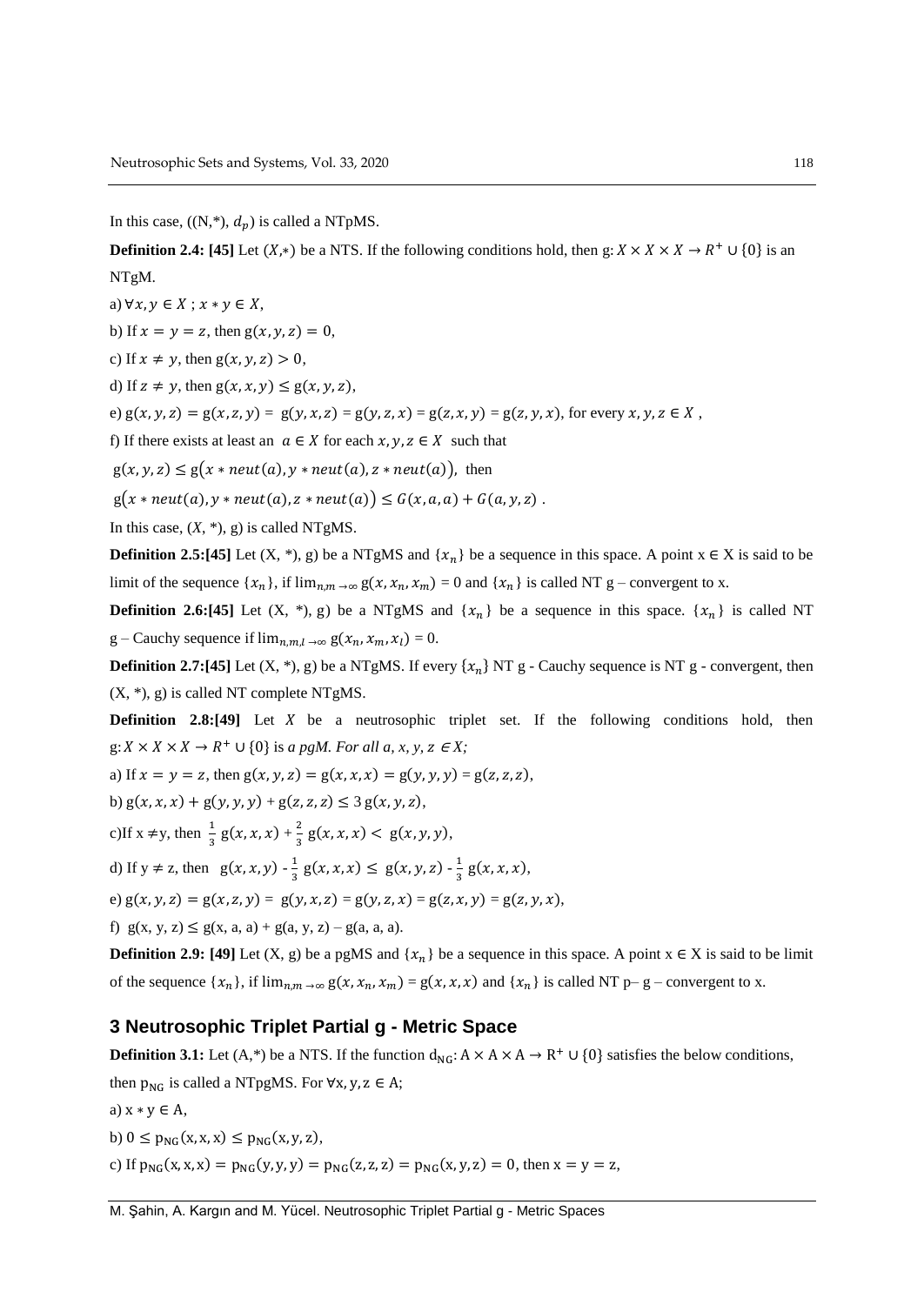In this case,  $((N, *), d_p)$  is called a NTpMS.

**Definition 2.4:** [45] Let  $(X,*)$  be a NTS. If the following conditions hold, then  $g: X \times X \times X \to R^+ \cup \{0\}$  is an NTgM.

a)  $\forall x, y \in X$ ;  $x * y \in X$ ,

b) If  $x = y = z$ , then  $g(x, y, z) = 0$ ,

c) If  $x \neq y$ , then  $g(x, y, z) > 0$ ,

d) If  $z \neq y$ , then  $g(x, x, y) \leq g(x, y, z)$ ,

e)  $g(x, y, z) = g(x, z, y) = g(y, x, z) = g(y, z, x) = g(z, x, y) = g(z, y, x)$ , for every  $x, y, z \in X$ ,

f) If there exists at least an  $a \in X$  for each  $x, y, z \in X$  such that

 $g(x, y, z) \le g(x * neut(a), y * neut(a), z * neut(a)),$  then

 $g(x * neut(a), y * neut(a), z * neut(a)) \le G(x, a, a) + G(a, y, z)$ .

In this case,  $(X, *), g$  is called NTgMS.

**Definition 2.5:[45]** Let  $(X, *), g$  be a NTgMS and  $\{x_n\}$  be a sequence in this space. A point  $x \in X$  is said to be limit of the sequence  $\{x_n\}$ , if  $\lim_{n,m \to \infty} g(x, x_n, x_m) = 0$  and  $\{x_n\}$  is called NT g – convergent to x.

**Definition 2.6:[45]** Let  $(X, *), g$  be a NTgMS and  $\{x_n\}$  be a sequence in this space.  $\{x_n\}$  is called NT g – Cauchy sequence if  $\lim_{n \to \infty} g(x_n, x_m, x_l) = 0$ .

**Definition 2.7:[45]** Let  $(X, *), g$  be a NTgMS. If every  $\{x_n\}$  NT g - Cauchy sequence is NT g - convergent, then (X, \*), g) is called NT complete NTgMS.

**Definition** 2.8:[49] Let X be a neutrosophic triplet set. If the following conditions hold, then  $g: X \times X \times X \to R^+ \cup \{0\}$  is *a pgM. For all a, x, y, z*  $\in X$ ;

a) If  $x = y = z$ , then  $g(x, y, z) = g(x, x, x) = g(y, y, y) = g(z, z, z)$ ,

b)  $g(x, x, x) + g(y, y, y) + g(z, z, z) \leq 3 g(x, y, z),$ 

c) If 
$$
x \neq y
$$
, then  $\frac{1}{3}g(x, x, x) + \frac{2}{3}g(x, x, x) < g(x, y, y)$ ,

d) If 
$$
y \neq z
$$
, then  $g(x, x, y) - \frac{1}{3}g(x, x, x) \leq g(x, y, z) - \frac{1}{3}g(x, x, x)$ ,

e) 
$$
g(x, y, z) = g(x, z, y) = g(y, x, z) = g(y, z, x) = g(z, x, y) = g(z, y, x),
$$

f)  $g(x, y, z) \le g(x, a, a) + g(a, y, z) - g(a, a, a)$ .

**Definition 2.9:** [49] Let (X, g) be a pgMS and  $\{x_n\}$  be a sequence in this space. A point  $x \in X$  is said to be limit of the sequence  $\{x_n\}$ , if  $\lim_{n,m \to \infty} g(x, x_n, x_m) = g(x, x, x)$  and  $\{x_n\}$  is called NT p– g – convergent to x.

## **3 Neutrosophic Triplet Partial g - Metric Space**

**Definition 3.1:** Let  $(A,*)$  be a NTS. If the function  $d_{NG}: A \times A \times A \to R^+ \cup \{0\}$  satisfies the below conditions,

then  $p_{NG}$  is called a NTpgMS. For  $\forall x, y, z \in A$ ;

a)  $x * y \in A$ ,

b)  $0 \le p_{NG}(x, x, x) \le p_{NG}(x, y, z)$ ,

c) If  $p_{NG}(x, x, x) = p_{NG}(y, y, y) = p_{NG}(z, z, z) = p_{NG}(x, y, z) = 0$ , then  $x = y = z$ ,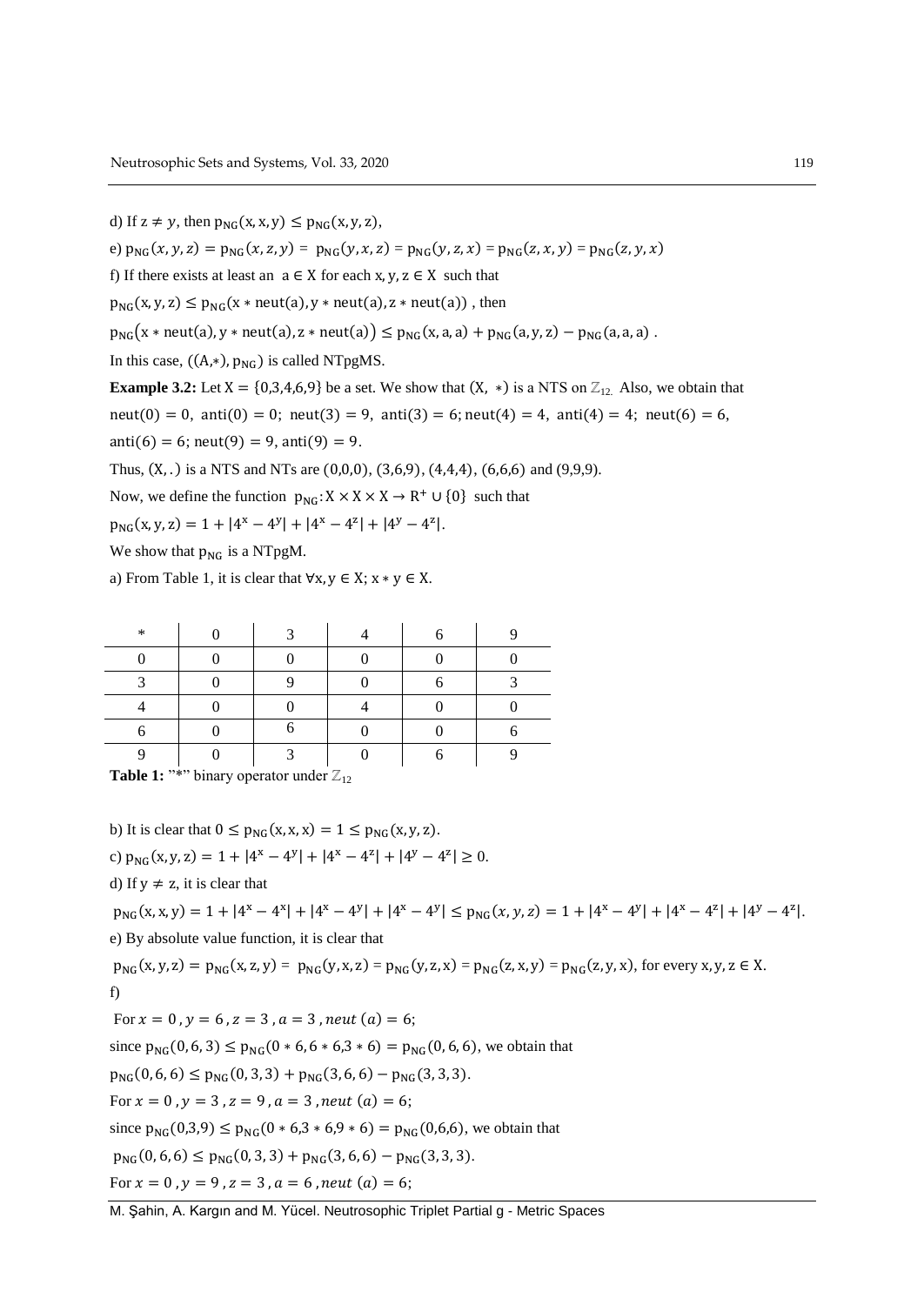d) If  $z \neq y$ , then  $p_{NG}(x, x, y) \leq p_{NG}(x, y, z)$ , e)  $p_{NG}(x, y, z) = p_{NG}(x, z, y) = p_{NG}(y, x, z) = p_{NG}(y, z, x) = p_{NG}(z, x, y) = p_{NG}(z, y, x)$ f) If there exists at least an  $a \in X$  for each  $x, y, z \in X$  such that  $p_{NG}(x, y, z) \leq p_{NG}(x * neut(a), y * neut(a), z * neut(a))$ , then  $p_{NG}(x * neut(a), y * neut(a), z * neut(a)) \leq p_{NG}(x, a, a) + p_{NG}(a, y, z) - p_{NG}(a, a, a)$ . In this case,  $((A,*)$ ,  $p_{NC}$ ) is called NTpgMS. **Example 3.2:** Let  $X = \{0,3,4,6,9\}$  be a set. We show that  $(X, *)$  is a NTS on  $\mathbb{Z}_{12}$ . Also, we obtain that  $neut(0) = 0$ ,  $anti(0) = 0$ ;  $neut(3) = 9$ ,  $anti(3) = 6$ ;  $neut(4) = 4$ ,  $anti(4) = 4$ ;  $neut(6) = 6$ ,  $\text{anti}(6) = 6$ ;  $\text{neut}(9) = 9$ ,  $\text{anti}(9) = 9$ . Thus,  $(X, .)$  is a NTS and NTs are  $(0, 0, 0)$ ,  $(3, 6, 9)$ ,  $(4, 4, 4)$ ,  $(6, 6, 6)$  and  $(9, 9, 9)$ . Now, we define the function  $p_{NG}: X \times X \times X \to R^+ \cup \{0\}$  such that  $p_{NG}(x, y, z) = 1 + |4^x - 4^y| + |4^x - 4^z| + |4^y - 4^z|.$ 

We show that  $p_{NG}$  is a NTpgM.

a) From Table 1, it is clear that  $\forall x, y \in X$ ;  $x * y \in X$ .

| ∗ | ◠ |  |  |
|---|---|--|--|
|   |   |  |  |
|   |   |  |  |
|   |   |  |  |
|   |   |  |  |
|   | ⌒ |  |  |

**Table 1:** "\*" binary operator under  $\mathbb{Z}_{12}$ 

b) It is clear that  $0 \leq p_{NG}(x, x, x) = 1 \leq p_{NG}(x, y, z)$ . c)  $p_{NG}(x, y, z) = 1 + |4^x - 4^y| + |4^x - 4^z| + |4^y - 4^z| \ge 0.$ 

d) If  $y \neq z$ , it is clear that

 $p_{NG}(x, x, y) = 1 + |4^x - 4^x| + |4^x - 4^y| + |4^x - 4^y| \le p_{NG}(x, y, z) = 1 + |4^x - 4^y| + |4^x - 4^z| + |4^y - 4^z|.$ e) By absolute value function, it is clear that

 $p_{NG}(x, y, z) = p_{NG}(x, z, y) = p_{NG}(y, x, z) = p_{NG}(y, z, x) = p_{NG}(z, x, y) = p_{NG}(z, y, x)$ , for every x, y, z  $\in$  X.

f)

For  $x = 0$ ,  $y = 6$ ,  $z = 3$ ,  $a = 3$ , neut  $(a) = 6$ ; since  $p_{NG}(0, 6, 3) \le p_{NG}(0 * 6, 6 * 6, 3 * 6) = p_{NG}(0, 6, 6)$ , we obtain that  $p_{NG}(0, 6, 6) \le p_{NG}(0, 3, 3) + p_{NG}(3, 6, 6) - p_{NG}(3, 3, 3).$ For  $x = 0$ ,  $y = 3$ ,  $z = 9$ ,  $a = 3$ , neut  $(a) = 6$ ; since  $p_{NG}(0,3,9) \le p_{NG}(0 * 6,3 * 6,9 * 6) = p_{NG}(0,6,6)$ , we obtain that  $p_{NG}(0, 6, 6) \le p_{NG}(0, 3, 3) + p_{NG}(3, 6, 6) - p_{NG}(3, 3, 3).$ For  $x = 0$ ,  $y = 9$ ,  $z = 3$ ,  $a = 6$ , neut  $(a) = 6$ ;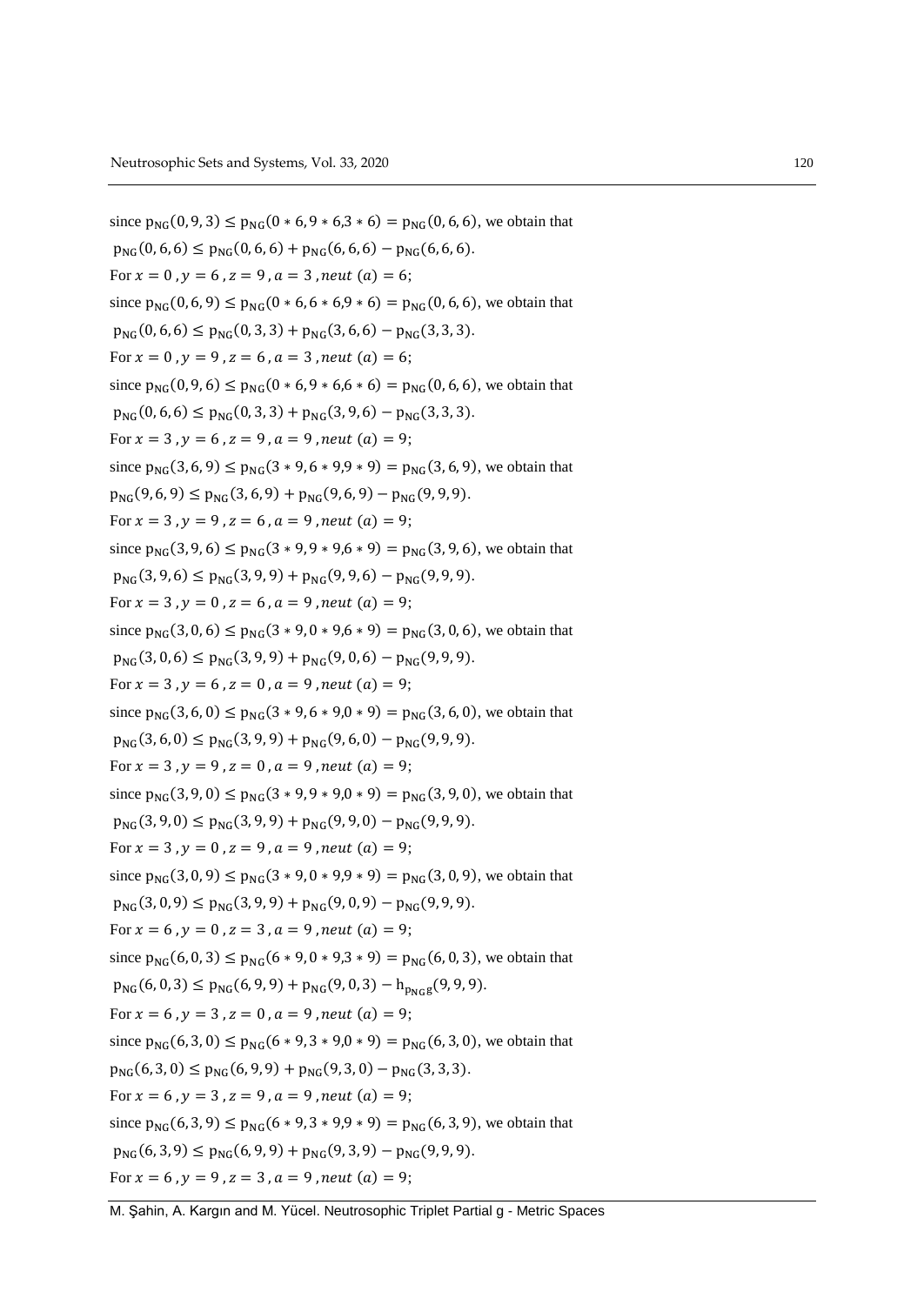since  $p_{NC}(0, 9, 3) \leq p_{NC}(0 * 6, 9 * 6, 3 * 6) = p_{NC}(0, 6, 6)$ , we obtain that  $p_{NG}(0, 6, 6) \leq p_{NG}(0, 6, 6) + p_{NG}(6, 6, 6) - p_{NG}(6, 6, 6).$ For  $x = 0$ ,  $y = 6$ ,  $z = 9$ ,  $a = 3$ , neut  $(a) = 6$ ; since  $p_{NG}(0, 6, 9) \le p_{NG}(0 * 6, 6 * 6, 9 * 6) = p_{NG}(0, 6, 6)$ , we obtain that  $p_{NG}(0, 6, 6) \le p_{NG}(0, 3, 3) + p_{NG}(3, 6, 6) - p_{NG}(3, 3, 3).$ For  $x = 0$ ,  $y = 9$ ,  $z = 6$ ,  $a = 3$ , neut  $(a) = 6$ ; since  $p_{NG}(0, 9, 6) \le p_{NG}(0 * 6, 9 * 6, 6 * 6) = p_{NG}(0, 6, 6)$ , we obtain that  $p_{NG}(0, 6, 6) \leq p_{NG}(0, 3, 3) + p_{NG}(3, 9, 6) - p_{NG}(3, 3, 3).$ For  $x = 3$ ,  $y = 6$ ,  $z = 9$ ,  $a = 9$ , neut  $(a) = 9$ ; since  $p_{NG}(3, 6, 9) \le p_{NG}(3 * 9, 6 * 9, 9 * 9) = p_{NG}(3, 6, 9)$ , we obtain that  $p_{NG}(9, 6, 9) \leq p_{NG}(3, 6, 9) + p_{NG}(9, 6, 9) - p_{NG}(9, 9, 9).$ For  $x = 3$ ,  $y = 9$ ,  $z = 6$ ,  $a = 9$ , neut  $(a) = 9$ ; since  $p_{NG}(3, 9, 6) \le p_{NG}(3 * 9, 9 * 9, 6 * 9) = p_{NG}(3, 9, 6)$ , we obtain that  $p_{NG}(3, 9, 6) \le p_{NG}(3, 9, 9) + p_{NG}(9, 9, 6) - p_{NG}(9, 9, 9).$ For  $x = 3$ ,  $y = 0$ ,  $z = 6$ ,  $a = 9$ , neut  $(a) = 9$ ; since  $p_{NG}(3, 0, 6) \le p_{NG}(3 * 9, 0 * 9, 6 * 9) = p_{NG}(3, 0, 6)$ , we obtain that  $p_{NG}(3, 0, 6) \le p_{NG}(3, 9, 9) + p_{NG}(9, 0, 6) - p_{NG}(9, 9, 9).$ For  $x = 3$ ,  $y = 6$ ,  $z = 0$ ,  $a = 9$ , neut  $(a) = 9$ ; since  $p_{NG}(3, 6, 0) \le p_{NG}(3 * 9, 6 * 9, 0 * 9) = p_{NG}(3, 6, 0)$ , we obtain that  $p_{NG}(3, 6, 0) \leq p_{NG}(3, 9, 9) + p_{NG}(9, 6, 0) - p_{NG}(9, 9, 9).$ For  $x = 3$ ,  $y = 9$ ,  $z = 0$ ,  $a = 9$ , neut  $(a) = 9$ ; since  $p_{NG}(3, 9, 0) \le p_{NG}(3 * 9, 9 * 9, 0 * 9) = p_{NG}(3, 9, 0)$ , we obtain that  $p_{NG}(3, 9, 0) \le p_{NG}(3, 9, 9) + p_{NG}(9, 9, 0) - p_{NG}(9, 9, 9).$ For  $x = 3$ ,  $y = 0$ ,  $z = 9$ ,  $a = 9$ , neut  $(a) = 9$ ; since  $p_{NG}(3, 0, 9) \le p_{NG}(3 * 9, 0 * 9, 9 * 9) = p_{NG}(3, 0, 9)$ , we obtain that  $p_{NG}(3,0,9) \le p_{NG}(3,9,9) + p_{NG}(9,0,9) - p_{NG}(9,9,9).$ For  $x = 6$ ,  $y = 0$ ,  $z = 3$ ,  $a = 9$ , neut  $(a) = 9$ ; since  $p_{NG}(6, 0, 3) \le p_{NG}(6 * 9, 0 * 9, 3 * 9) = p_{NG}(6, 0, 3)$ , we obtain that  $p_{NG}(6, 0, 3) \leq p_{NG}(6, 9, 9) + p_{NG}(9, 0, 3) - h_{p_{NG}g}(9, 9, 9).$ For  $x = 6$ ,  $y = 3$ ,  $z = 0$ ,  $a = 9$ , neut  $(a) = 9$ ; since  $p_{NG}(6, 3, 0) \le p_{NG}(6 * 9, 3 * 9, 0 * 9) = p_{NG}(6, 3, 0)$ , we obtain that  $p_{NG}(6,3,0) \leq p_{NG}(6,9,9) + p_{NG}(9,3,0) - p_{NG}(3,3,3).$ For  $x = 6$ ,  $y = 3$ ,  $z = 9$ ,  $a = 9$ , neut  $(a) = 9$ ; since  $p_{NG}(6, 3, 9) \le p_{NG}(6 * 9, 3 * 9, 9 * 9) = p_{NG}(6, 3, 9)$ , we obtain that  $p_{NG}(6, 3, 9) \leq p_{NG}(6, 9, 9) + p_{NG}(9, 3, 9) - p_{NG}(9, 9, 9).$ For  $x = 6$ ,  $y = 9$ ,  $z = 3$ ,  $a = 9$ , neut  $(a) = 9$ ;

M. Şahin, A. Kargın and M. Yücel. Neutrosophic Triplet Partial g - Metric Spaces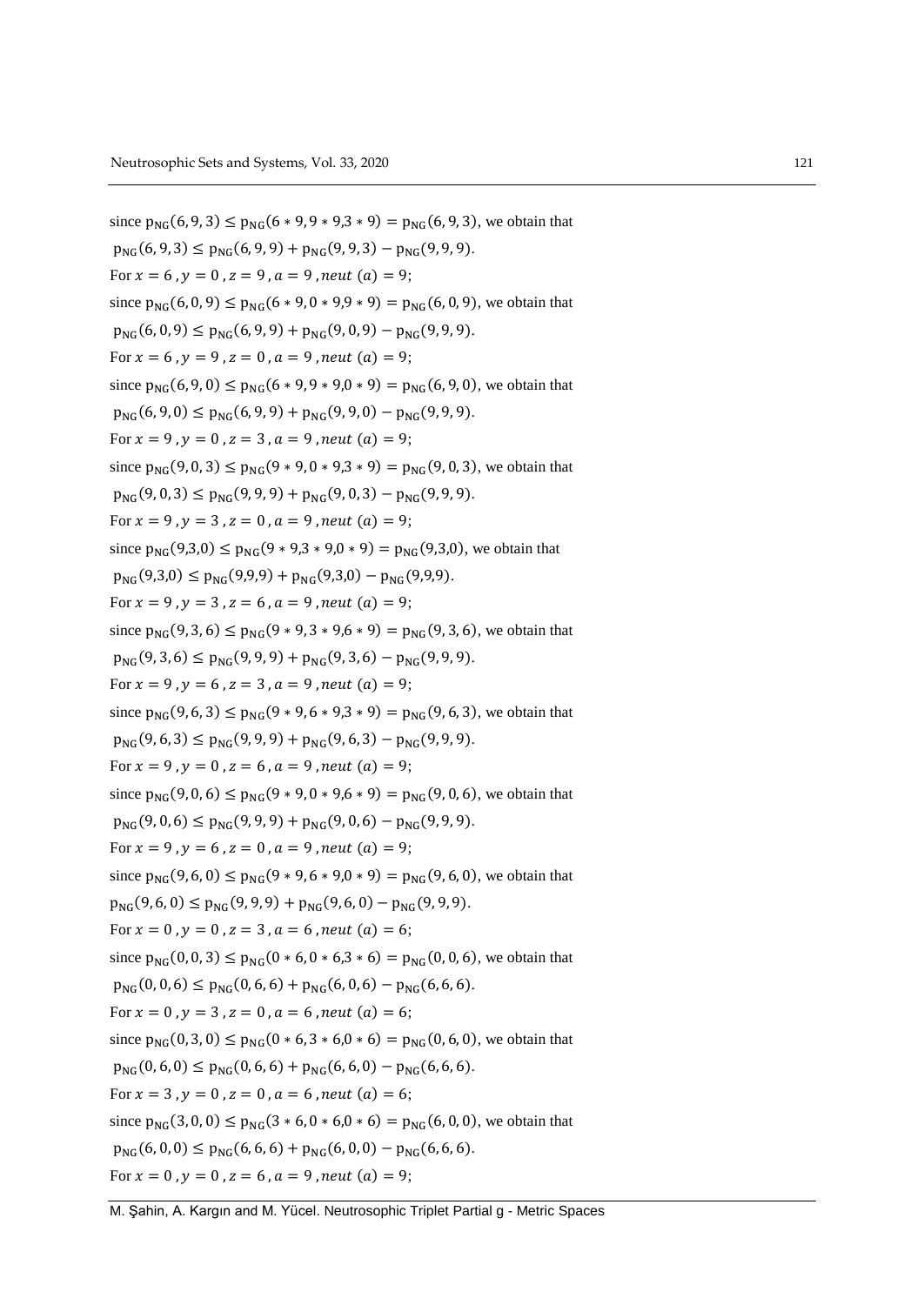since  $p_{NC}(6, 9, 3) \leq p_{NC}(6 * 9, 9 * 9, 3 * 9) = p_{NC}(6, 9, 3)$ , we obtain that  $p_{NG}(6, 9, 3) \leq p_{NG}(6, 9, 9) + p_{NG}(9, 9, 3) - p_{NG}(9, 9, 9).$ For  $x = 6$ ,  $y = 0$ ,  $z = 9$ ,  $a = 9$ , neut  $(a) = 9$ ; since  $p_{NG}(6, 0, 9) \le p_{NG}(6 * 9, 0 * 9, 9 * 9) = p_{NG}(6, 0, 9)$ , we obtain that  $p_{NG}(6, 0, 9) \le p_{NG}(6, 9, 9) + p_{NG}(9, 0, 9) - p_{NG}(9, 9, 9).$ For  $x = 6$ ,  $y = 9$ ,  $z = 0$ ,  $a = 9$ , neut  $(a) = 9$ ; since  $p_{NG}(6, 9, 0) \le p_{NG}(6 * 9, 9 * 9, 0 * 9) = p_{NG}(6, 9, 0)$ , we obtain that  $p_{NG}(6, 9, 0) \leq p_{NG}(6, 9, 9) + p_{NG}(9, 9, 0) - p_{NG}(9, 9, 9).$ For  $x = 9$ ,  $y = 0$ ,  $z = 3$ ,  $a = 9$ , neut  $(a) = 9$ ; since  $p_{NG}(9, 0, 3) \le p_{NG}(9 * 9, 0 * 9, 3 * 9) = p_{NG}(9, 0, 3)$ , we obtain that  $p_{NG}(9, 0, 3) \le p_{NG}(9, 9, 9) + p_{NG}(9, 0, 3) - p_{NG}(9, 9, 9).$ For  $x = 9$ ,  $y = 3$ ,  $z = 0$ ,  $a = 9$ , neut  $(a) = 9$ ; since  $p_{NG}(9,3,0) \le p_{NG}(9*9,3*9,0*9) = p_{NG}(9,3,0)$ , we obtain that  $p_{NG}(9,3,0) \leq p_{NG}(9,9,9) + p_{NG}(9,3,0) - p_{NG}(9,9,9).$ For  $x = 9$ ,  $y = 3$ ,  $z = 6$ ,  $a = 9$ , neut  $(a) = 9$ ; since  $p_{NG}(9, 3, 6) \le p_{NG}(9 * 9, 3 * 9, 6 * 9) = p_{NG}(9, 3, 6)$ , we obtain that  $p_{NG}(9,3,6) \leq p_{NG}(9,9,9) + p_{NG}(9,3,6) - p_{NG}(9,9,9).$ For  $x = 9$ ,  $y = 6$ ,  $z = 3$ ,  $a = 9$ , neut  $(a) = 9$ ; since  $p_{NG}(9, 6, 3) \le p_{NG}(9 * 9, 6 * 9, 3 * 9) = p_{NG}(9, 6, 3)$ , we obtain that  $p_{NG}(9, 6, 3) \leq p_{NG}(9, 9, 9) + p_{NG}(9, 6, 3) - p_{NG}(9, 9, 9).$ For  $x = 9$ ,  $y = 0$ ,  $z = 6$ ,  $a = 9$ , neut  $(a) = 9$ ; since  $p_{NG}(9, 0, 6) \le p_{NG}(9 * 9, 0 * 9, 6 * 9) = p_{NG}(9, 0, 6)$ , we obtain that  $p_{NG}(9, 0, 6) \le p_{NG}(9, 9, 9) + p_{NG}(9, 0, 6) - p_{NG}(9, 9, 9).$ For  $x = 9$ ,  $y = 6$ ,  $z = 0$ ,  $a = 9$ , neut  $(a) = 9$ ; since  $p_{NG}(9, 6, 0) \le p_{NG}(9 * 9, 6 * 9, 0 * 9) = p_{NG}(9, 6, 0)$ , we obtain that  $p_{NG}(9, 6, 0) \le p_{NG}(9, 9, 9) + p_{NG}(9, 6, 0) - p_{NG}(9, 9, 9).$ For  $x = 0$ ,  $y = 0$ ,  $z = 3$ ,  $a = 6$ , neut  $(a) = 6$ ; since  $p_{NG}(0, 0, 3) \le p_{NG}(0 * 6, 0 * 6, 3 * 6) = p_{NG}(0, 0, 6)$ , we obtain that  $p_{NG}(0, 0, 6) \leq p_{NG}(0, 6, 6) + p_{NG}(6, 0, 6) - p_{NG}(6, 6, 6).$ For  $x = 0$ ,  $y = 3$ ,  $z = 0$ ,  $a = 6$ , neut  $(a) = 6$ ; since  $p_{NG}(0, 3, 0) \le p_{NG}(0 * 6, 3 * 6, 0 * 6) = p_{NG}(0, 6, 0)$ , we obtain that  $p_{NG}(0, 6, 0) \le p_{NG}(0, 6, 6) + p_{NG}(6, 6, 0) - p_{NG}(6, 6, 6).$ For  $x = 3$ ,  $y = 0$ ,  $z = 0$ ,  $a = 6$ , neut  $(a) = 6$ ; since  $p_{NG}(3, 0, 0) \le p_{NG}(3 * 6, 0 * 6, 0 * 6) = p_{NG}(6, 0, 0)$ , we obtain that  $p_{NG}(6, 0, 0) \leq p_{NG}(6, 6, 6) + p_{NG}(6, 0, 0) - p_{NG}(6, 6, 6).$ For  $x = 0$ ,  $y = 0$ ,  $z = 6$ ,  $a = 9$ , neut  $(a) = 9$ ;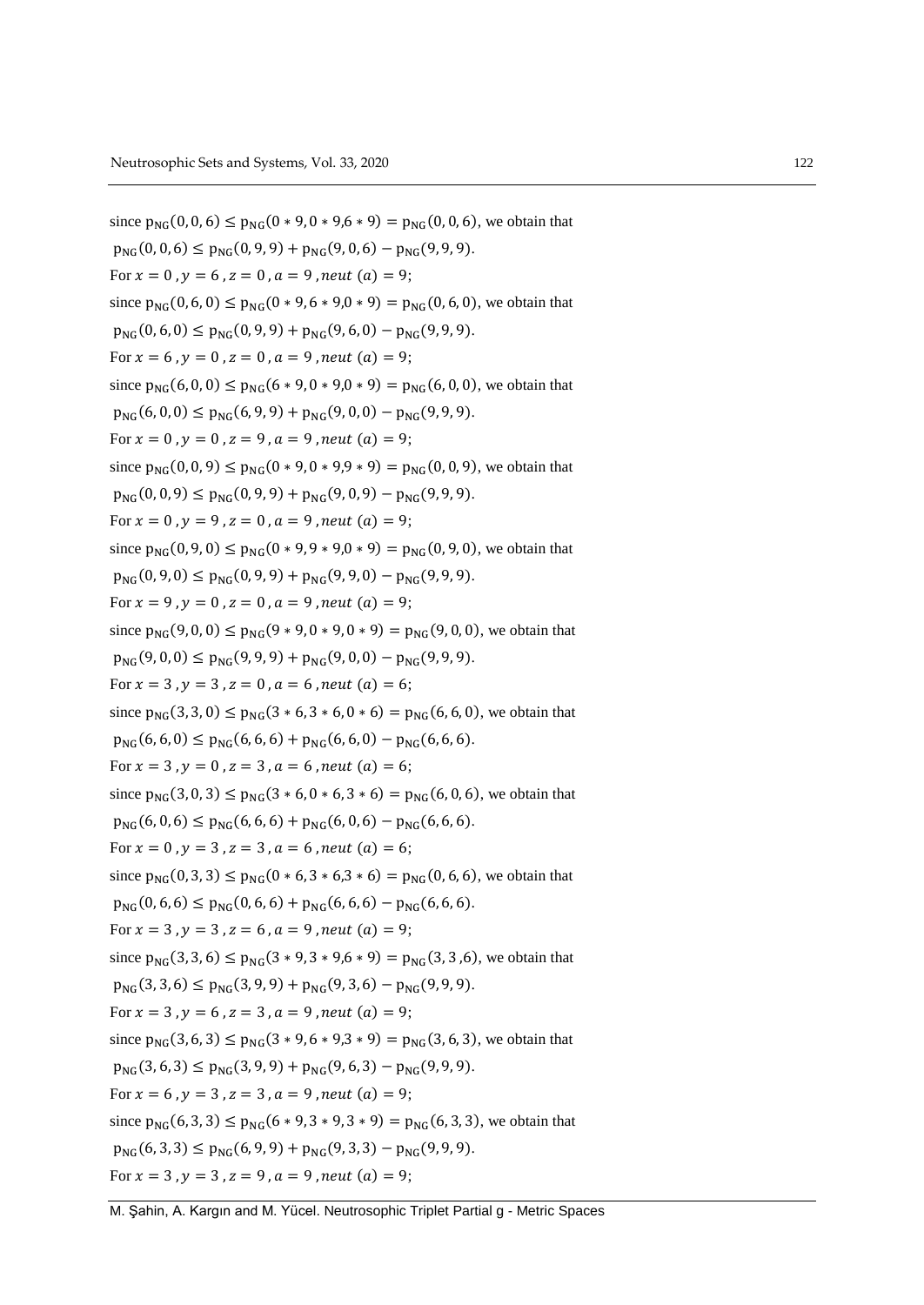since  $p_{NC}(0, 0, 6) \leq p_{NC}(0 * 9, 0 * 9, 6 * 9) = p_{NC}(0, 0, 6)$ , we obtain that  $p_{NG}(0, 0, 6) \leq p_{NG}(0, 9, 9) + p_{NG}(9, 0, 6) - p_{NG}(9, 9, 9).$ For  $x = 0$ ,  $y = 6$ ,  $z = 0$ ,  $a = 9$ , neut  $(a) = 9$ ; since  $p_{NG}(0, 6, 0) \le p_{NG}(0 * 9, 6 * 9, 0 * 9) = p_{NG}(0, 6, 0)$ , we obtain that  $p_{NG}(0, 6, 0) \le p_{NG}(0, 9, 9) + p_{NG}(9, 6, 0) - p_{NG}(9, 9, 9).$ For  $x = 6$ ,  $y = 0$ ,  $z = 0$ ,  $a = 9$ , neut  $(a) = 9$ ; since  $p_{NG}(6, 0, 0) \le p_{NG}(6 * 9, 0 * 9, 0 * 9) = p_{NG}(6, 0, 0)$ , we obtain that  $p_{NG}(6, 0, 0) \leq p_{NG}(6, 9, 9) + p_{NG}(9, 0, 0) - p_{NG}(9, 9, 9).$ For  $x = 0$ ,  $y = 0$ ,  $z = 9$ ,  $a = 9$ , neut  $(a) = 9$ ; since  $p_{NG}(0, 0, 9) \le p_{NG}(0 * 9, 0 * 9, 9 * 9) = p_{NG}(0, 0, 9)$ , we obtain that  $p_{NG}(0, 0, 9) \le p_{NG}(0, 9, 9) + p_{NG}(9, 0, 9) - p_{NG}(9, 9, 9).$ For  $x = 0$ ,  $y = 9$ ,  $z = 0$ ,  $a = 9$ , neut  $(a) = 9$ ; since  $p_{NG}(0, 9, 0) \le p_{NG}(0 * 9, 9 * 9, 0 * 9) = p_{NG}(0, 9, 0)$ , we obtain that  $p_{NG}(0, 9, 0) \leq p_{NG}(0, 9, 9) + p_{NG}(9, 9, 0) - p_{NG}(9, 9, 9).$ For  $x = 9$ ,  $y = 0$ ,  $z = 0$ ,  $a = 9$ , neut  $(a) = 9$ ; since  $p_{NG}(9, 0, 0) \le p_{NG}(9 * 9, 0 * 9, 0 * 9) = p_{NG}(9, 0, 0)$ , we obtain that  $p_{NG}(9,0,0) \leq p_{NG}(9,9,9) + p_{NG}(9,0,0) - p_{NG}(9,9,9).$ For  $x = 3$ ,  $y = 3$ ,  $z = 0$ ,  $a = 6$ , neut  $(a) = 6$ ; since  $p_{NG}(3,3,0) \le p_{NG}(3 * 6, 3 * 6, 0 * 6) = p_{NG}(6,6,0)$ , we obtain that  $p_{NC}(6, 6, 0) \leq p_{NC}(6, 6, 6) + p_{NC}(6, 6, 0) - p_{NC}(6, 6, 6).$ For  $x = 3$ ,  $y = 0$ ,  $z = 3$ ,  $a = 6$ , neut  $(a) = 6$ ; since  $p_{NG}(3, 0, 3) \le p_{NG}(3 * 6, 0 * 6, 3 * 6) = p_{NG}(6, 0, 6)$ , we obtain that  $p_{NG}(6, 0, 6) \le p_{NG}(6, 6, 6) + p_{NG}(6, 0, 6) - p_{NG}(6, 6, 6).$ For  $x = 0$ ,  $y = 3$ ,  $z = 3$ ,  $a = 6$ , neut  $(a) = 6$ ; since  $p_{NG}(0, 3, 3) \le p_{NG}(0 * 6, 3 * 6, 3 * 6) = p_{NG}(0, 6, 6)$ , we obtain that  $p_{NG}(0, 6, 6) \le p_{NG}(0, 6, 6) + p_{NG}(6, 6, 6) - p_{NG}(6, 6, 6).$ For  $x = 3$ ,  $y = 3$ ,  $z = 6$ ,  $a = 9$ , neut  $(a) = 9$ ; since  $p_{NG}(3, 3, 6) \le p_{NG}(3 * 9, 3 * 9, 6 * 9) = p_{NG}(3, 3, 6)$ , we obtain that  $p_{NG}(3,3,6) \leq p_{NG}(3,9,9) + p_{NG}(9,3,6) - p_{NG}(9,9,9).$ For  $x = 3$ ,  $y = 6$ ,  $z = 3$ ,  $a = 9$ , neut  $(a) = 9$ ; since  $p_{NG}(3, 6, 3) \le p_{NG}(3 * 9, 6 * 9, 3 * 9) = p_{NG}(3, 6, 3)$ , we obtain that  $p_{NG}(3, 6, 3) \le p_{NG}(3, 9, 9) + p_{NG}(9, 6, 3) - p_{NG}(9, 9, 9).$ For  $x = 6$ ,  $y = 3$ ,  $z = 3$ ,  $a = 9$ , neut  $(a) = 9$ ; since  $p_{NG}(6, 3, 3) \le p_{NG}(6 * 9, 3 * 9, 3 * 9) = p_{NG}(6, 3, 3)$ , we obtain that  $p_{NG}(6, 3, 3) \leq p_{NG}(6, 9, 9) + p_{NG}(9, 3, 3) - p_{NG}(9, 9, 9).$ For  $x = 3$ ,  $y = 3$ ,  $z = 9$ ,  $a = 9$ , neut  $(a) = 9$ ;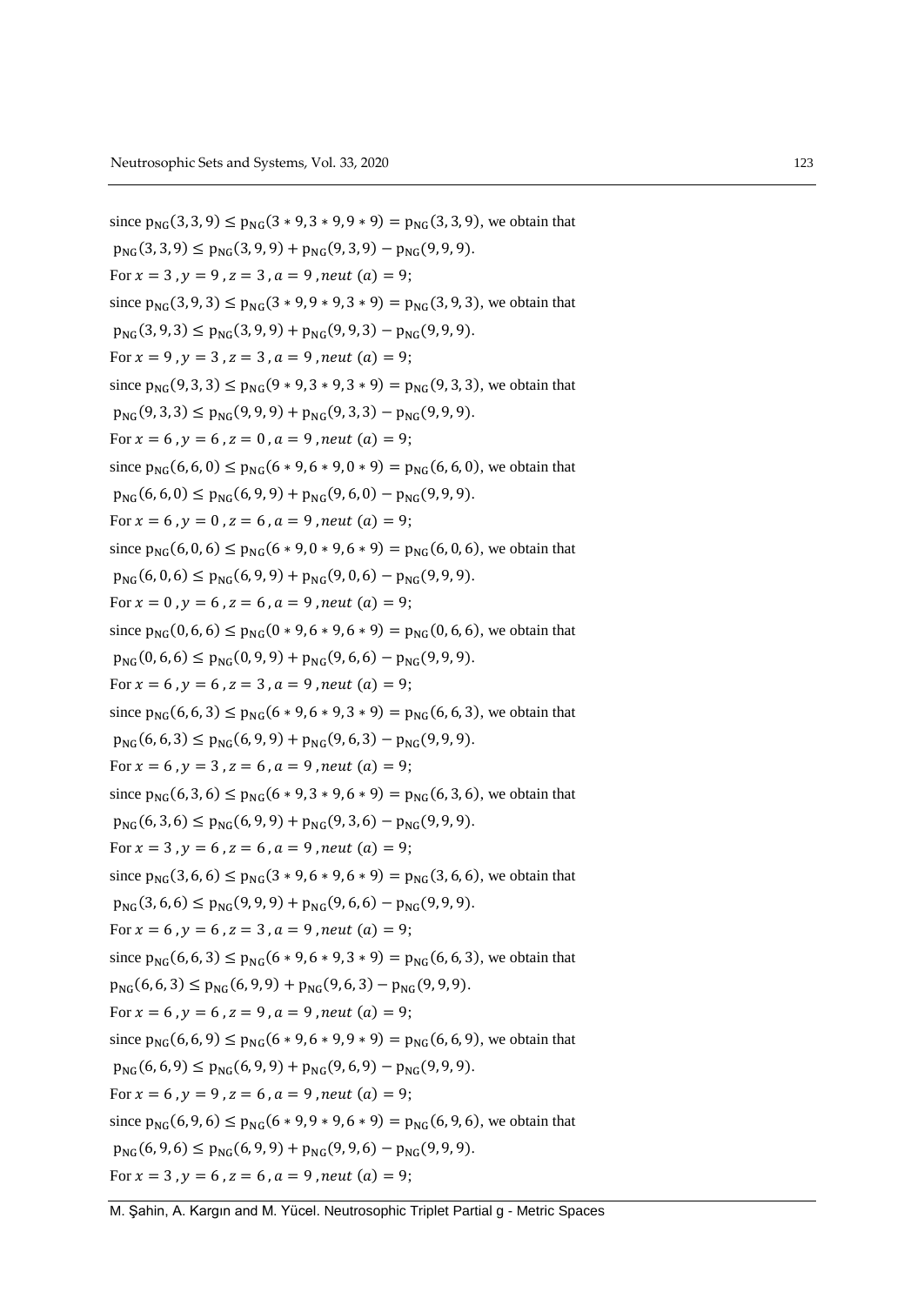since  $p_{NC}(3,3,9) \leq p_{NC}(3*9,3*9,9*9) = p_{NC}(3,3,9)$ , we obtain that  $p_{NG}(3,3,9) \leq p_{NG}(3,9,9) + p_{NG}(9,3,9) - p_{NG}(9,9,9).$ For  $x = 3$ ,  $y = 9$ ,  $z = 3$ ,  $a = 9$ , neut  $(a) = 9$ ; since  $p_{NG}(3, 9, 3) \le p_{NG}(3 * 9, 9 * 9, 3 * 9) = p_{NG}(3, 9, 3)$ , we obtain that  $p_{NG}(3, 9, 3) \le p_{NG}(3, 9, 9) + p_{NG}(9, 9, 3) - p_{NG}(9, 9, 9).$ For  $x = 9$ ,  $y = 3$ ,  $z = 3$ ,  $a = 9$ , neut  $(a) = 9$ ; since  $p_{NG}(9, 3, 3) \le p_{NG}(9 * 9, 3 * 9, 3 * 9) = p_{NG}(9, 3, 3)$ , we obtain that  $p_{NG}(9,3,3) \leq p_{NG}(9,9,9) + p_{NG}(9,3,3) - p_{NG}(9,9,9).$ For  $x = 6$ ,  $y = 6$ ,  $z = 0$ ,  $a = 9$ , neut  $(a) = 9$ ; since  $p_{NG}(6, 6, 0) \le p_{NG}(6 * 9, 6 * 9, 0 * 9) = p_{NG}(6, 6, 0)$ , we obtain that  $p_{NG}(6, 6, 0) \le p_{NG}(6, 9, 9) + p_{NG}(9, 6, 0) - p_{NG}(9, 9, 9).$ For  $x = 6$ ,  $y = 0$ ,  $z = 6$ ,  $a = 9$ , neut  $(a) = 9$ ; since  $p_{NG}(6, 0, 6) \le p_{NG}(6 * 9, 0 * 9, 6 * 9) = p_{NG}(6, 0, 6)$ , we obtain that  $p_{NG}(6, 0, 6) \le p_{NG}(6, 9, 9) + p_{NG}(9, 0, 6) - p_{NG}(9, 9, 9).$ For  $x = 0$ ,  $y = 6$ ,  $z = 6$ ,  $a = 9$ , neut  $(a) = 9$ ; since  $p_{NG}(0, 6, 6) \le p_{NG}(0 * 9, 6 * 9, 6 * 9) = p_{NG}(0, 6, 6)$ , we obtain that  $p_{NG}(0, 6, 6) \leq p_{NG}(0, 9, 9) + p_{NG}(9, 6, 6) - p_{NG}(9, 9, 9).$ For  $x = 6$ ,  $y = 6$ ,  $z = 3$ ,  $a = 9$ , neut  $(a) = 9$ ; since  $p_{NG}(6, 6, 3) \le p_{NG}(6 * 9, 6 * 9, 3 * 9) = p_{NG}(6, 6, 3)$ , we obtain that  $p_{NG}(6, 6, 3) \leq p_{NG}(6, 9, 9) + p_{NG}(9, 6, 3) - p_{NG}(9, 9, 9).$ For  $x = 6$ ,  $y = 3$ ,  $z = 6$ ,  $a = 9$ , neut  $(a) = 9$ ; since  $p_{NG}(6, 3, 6) \le p_{NG}(6 * 9, 3 * 9, 6 * 9) = p_{NG}(6, 3, 6)$ , we obtain that  $p_{NG}(6, 3, 6) \le p_{NG}(6, 9, 9) + p_{NG}(9, 3, 6) - p_{NG}(9, 9, 9).$ For  $x = 3$ ,  $y = 6$ ,  $z = 6$ ,  $a = 9$ , neut  $(a) = 9$ ; since  $p_{NG}(3, 6, 6) \le p_{NG}(3 * 9, 6 * 9, 6 * 9) = p_{NG}(3, 6, 6)$ , we obtain that  $p_{NG}(3, 6, 6) \le p_{NG}(9, 9, 9) + p_{NG}(9, 6, 6) - p_{NG}(9, 9, 9).$ For  $x = 6$ ,  $y = 6$ ,  $z = 3$ ,  $a = 9$ , neut  $(a) = 9$ ; since  $p_{NG}(6, 6, 3) \le p_{NG}(6 * 9, 6 * 9, 3 * 9) = p_{NG}(6, 6, 3)$ , we obtain that  $p_{NG}(6, 6, 3) \le p_{NG}(6, 9, 9) + p_{NG}(9, 6, 3) - p_{NG}(9, 9, 9).$ For  $x = 6$ ,  $y = 6$ ,  $z = 9$ ,  $a = 9$ , neut  $(a) = 9$ ; since  $p_{NC}(6, 6, 9) \le p_{NC}(6 * 9, 6 * 9, 9 * 9) = p_{NC}(6, 6, 9)$ , we obtain that  $p_{NG}(6, 6, 9) \le p_{NG}(6, 9, 9) + p_{NG}(9, 6, 9) - p_{NG}(9, 9, 9).$ For  $x = 6$ ,  $y = 9$ ,  $z = 6$ ,  $a = 9$ , neut  $(a) = 9$ ; since  $p_{NG}(6, 9, 6) \le p_{NG}(6 * 9, 9 * 9, 6 * 9) = p_{NG}(6, 9, 6)$ , we obtain that  $p_{NG}(6, 9, 6) \leq p_{NG}(6, 9, 9) + p_{NG}(9, 9, 6) - p_{NG}(9, 9, 9).$ For  $x = 3$ ,  $y = 6$ ,  $z = 6$ ,  $a = 9$ , neut  $(a) = 9$ ;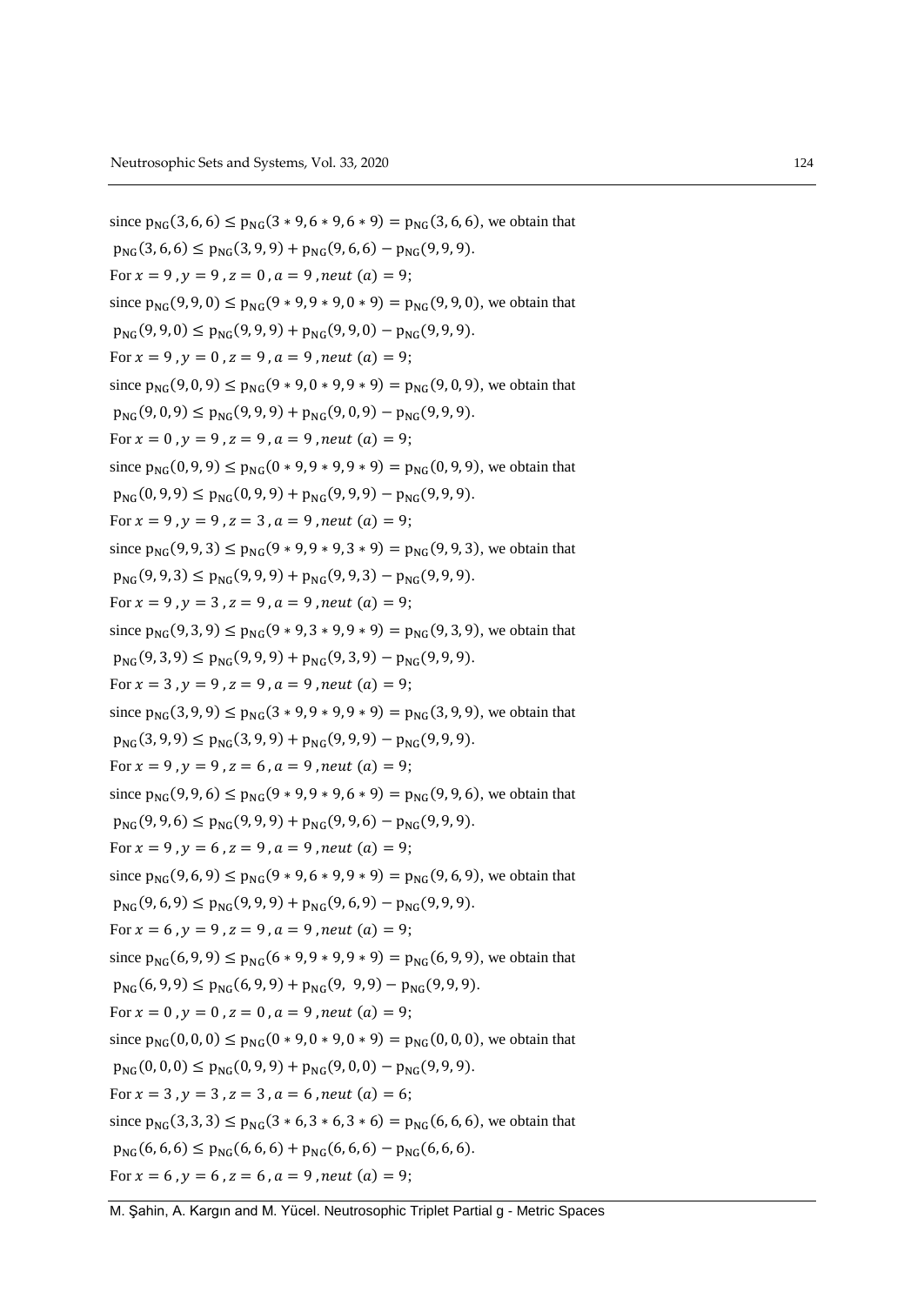since  $p_{NC}(3, 6, 6) \leq p_{NC}(3 * 9, 6 * 9, 6 * 9) = p_{NC}(3, 6, 6)$ , we obtain that  $p_{NG}(3, 6, 6) \leq p_{NG}(3, 9, 9) + p_{NG}(9, 6, 6) - p_{NG}(9, 9, 9).$ For  $x = 9$ ,  $y = 9$ ,  $z = 0$ ,  $a = 9$ , neut  $(a) = 9$ ; since  $p_{NG}(9, 9, 0) \le p_{NG}(9 * 9, 9 * 9, 0 * 9) = p_{NG}(9, 9, 0)$ , we obtain that  $p_{NG}(9, 9, 0) \leq p_{NG}(9, 9, 9) + p_{NG}(9, 9, 0) - p_{NG}(9, 9, 9).$ For  $x = 9$ ,  $y = 0$ ,  $z = 9$ ,  $a = 9$ , neut  $(a) = 9$ ; since  $p_{NG}(9, 0, 9) \le p_{NG}(9 * 9, 0 * 9, 9 * 9) = p_{NG}(9, 0, 9)$ , we obtain that  $p_{NG}(9,0,9) \leq p_{NG}(9,9,9) + p_{NG}(9,0,9) - p_{NG}(9,9,9).$ For  $x = 0$ ,  $y = 9$ ,  $z = 9$ ,  $a = 9$ , neut  $(a) = 9$ ; since  $p_{NG}(0, 9, 9) \le p_{NG}(0 * 9, 9 * 9, 9 * 9) = p_{NG}(0, 9, 9)$ , we obtain that  $p_{NC}(0, 9, 9) \leq p_{NC}(0, 9, 9) + p_{NC}(9, 9, 9) - p_{NC}(9, 9, 9).$ For  $x = 9$ ,  $y = 9$ ,  $z = 3$ ,  $a = 9$ , neut  $(a) = 9$ ; since  $p_{NG}(9, 9, 3) \le p_{NG}(9 * 9, 9 * 9, 3 * 9) = p_{NG}(9, 9, 3)$ , we obtain that  $p_{NG}(9, 9, 3) \le p_{NG}(9, 9, 9) + p_{NG}(9, 9, 3) - p_{NG}(9, 9, 9).$ For  $x = 9$ ,  $y = 3$ ,  $z = 9$ ,  $a = 9$ , neut  $(a) = 9$ ; since  $p_{NC}(9, 3, 9) \leq p_{NC}(9 * 9, 3 * 9, 9 * 9) = p_{NC}(9, 3, 9)$ , we obtain that  $p_{NG}(9,3,9) \leq p_{NG}(9,9,9) + p_{NG}(9,3,9) - p_{NG}(9,9,9).$ For  $x = 3$ ,  $y = 9$ ,  $z = 9$ ,  $a = 9$ , neut  $(a) = 9$ ; since  $p_{NG}(3, 9, 9) \le p_{NG}(3 * 9, 9 * 9, 9 * 9) = p_{NG}(3, 9, 9)$ , we obtain that  $p_{NC}(3, 9, 9) \leq p_{NC}(3, 9, 9) + p_{NC}(9, 9, 9) - p_{NC}(9, 9, 9).$ For  $x = 9$ ,  $y = 9$ ,  $z = 6$ ,  $a = 9$ , neut  $(a) = 9$ ; since  $p_{NG}(9, 9, 6) \le p_{NG}(9 * 9, 9 * 9, 6 * 9) = p_{NG}(9, 9, 6)$ , we obtain that  $p_{NG}(9, 9, 6) \le p_{NG}(9, 9, 9) + p_{NG}(9, 9, 6) - p_{NG}(9, 9, 9).$ For  $x = 9$ ,  $y = 6$ ,  $z = 9$ ,  $a = 9$ , neut  $(a) = 9$ ; since  $p_{NG}(9, 6, 9) \le p_{NG}(9 * 9, 6 * 9, 9 * 9) = p_{NG}(9, 6, 9)$ , we obtain that  $p_{NG}(9, 6, 9) \le p_{NG}(9, 9, 9) + p_{NG}(9, 6, 9) - p_{NG}(9, 9, 9).$ For  $x = 6$ ,  $y = 9$ ,  $z = 9$ ,  $a = 9$ , neut  $(a) = 9$ ; since  $p_{NG}(6, 9, 9) \le p_{NG}(6 * 9, 9 * 9, 9 * 9) = p_{NG}(6, 9, 9)$ , we obtain that  $p_{NG}(6, 9, 9) \le p_{NG}(6, 9, 9) + p_{NG}(9, 9, 9) - p_{NG}(9, 9, 9).$ For  $x = 0$ ,  $y = 0$ ,  $z = 0$ ,  $a = 9$ , neut  $(a) = 9$ ; since  $p_{NG}(0, 0, 0) \le p_{NG}(0 * 9, 0 * 9, 0 * 9) = p_{NG}(0, 0, 0)$ , we obtain that  $p_{NG}(0, 0, 0) \le p_{NG}(0, 9, 9) + p_{NG}(9, 0, 0) - p_{NG}(9, 9, 9).$ For  $x = 3$ ,  $y = 3$ ,  $z = 3$ ,  $a = 6$ , neut  $(a) = 6$ ; since  $p_{NG}(3,3,3) \le p_{NG}(3 * 6, 3 * 6, 3 * 6) = p_{NG}(6,6,6)$ , we obtain that  $p_{NG}(6, 6, 6) \leq p_{NG}(6, 6, 6) + p_{NG}(6, 6, 6) - p_{NG}(6, 6, 6).$ For  $x = 6$ ,  $y = 6$ ,  $z = 6$ ,  $a = 9$ , neut  $(a) = 9$ ;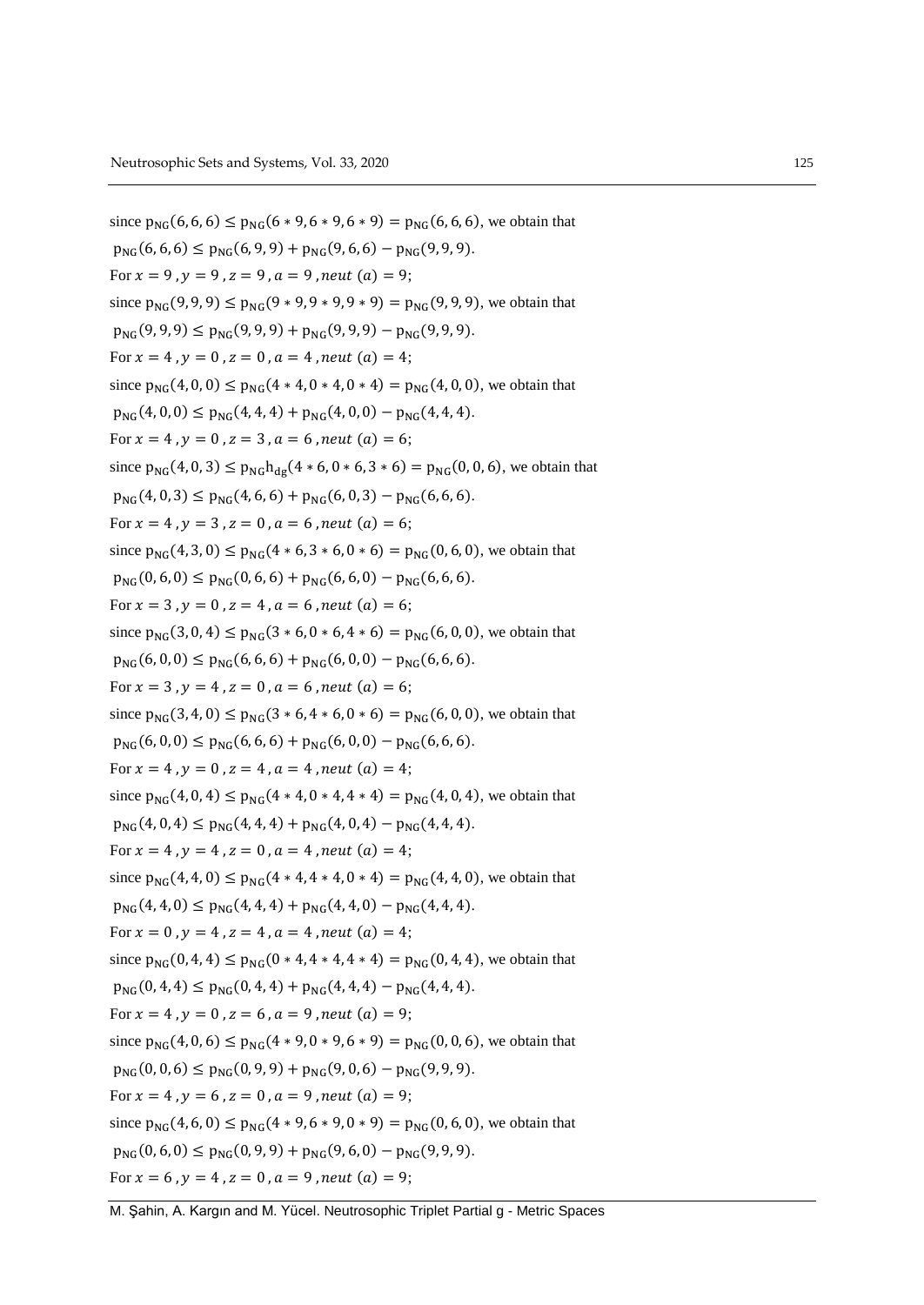since  $p_{NC}(6, 6, 6) \leq p_{NC}(6 * 9, 6 * 9, 6 * 9) = p_{NC}(6, 6, 6)$ , we obtain that  $p_{NG}(6, 6, 6) \leq p_{NG}(6, 9, 9) + p_{NG}(9, 6, 6) - p_{NG}(9, 9, 9).$ For  $x = 9$ ,  $y = 9$ ,  $z = 9$ ,  $a = 9$ , neut  $(a) = 9$ ; since  $p_{NG}(9, 9, 9) \le p_{NG}(9 * 9, 9 * 9, 9 * 9) = p_{NG}(9, 9, 9)$ , we obtain that  $p_{NG}(9, 9, 9) \le p_{NG}(9, 9, 9) + p_{NG}(9, 9, 9) - p_{NG}(9, 9, 9).$ For  $x = 4$ ,  $y = 0$ ,  $z = 0$ ,  $a = 4$ , neut  $(a) = 4$ ; since  $p_{NG}(4, 0, 0) \leq p_{NG}(4 * 4, 0 * 4, 0 * 4) = p_{NG}(4, 0, 0)$ , we obtain that  $p_{NG}(4, 0, 0) \leq p_{NG}(4, 4, 4) + p_{NG}(4, 0, 0) - p_{NG}(4, 4, 4).$ For  $x = 4$ ,  $y = 0$ ,  $z = 3$ ,  $a = 6$ , neut (a) = 6; since  $p_{NG}(4, 0, 3) \le p_{NG} h_{dg}(4 * 6, 0 * 6, 3 * 6) = p_{NG}(0, 0, 6)$ , we obtain that  $p_{NG}(4, 0, 3) \le p_{NG}(4, 6, 6) + p_{NG}(6, 0, 3) - p_{NG}(6, 6, 6).$ For  $x = 4$ ,  $y = 3$ ,  $z = 0$ ,  $a = 6$ , neut  $(a) = 6$ ; since  $p_{NG}(4,3,0) \le p_{NG}(4*6,3*6,0*6) = p_{NG}(0,6,0)$ , we obtain that  $p_{NG}(0, 6, 0) \leq p_{NG}(0, 6, 6) + p_{NG}(6, 6, 0) - p_{NG}(6, 6, 6).$ For  $x = 3$ ,  $y = 0$ ,  $z = 4$ ,  $a = 6$ , neut  $(a) = 6$ ; since  $p_{NG}(3, 0, 4) \le p_{NG}(3 * 6, 0 * 6, 4 * 6) = p_{NG}(6, 0, 0)$ , we obtain that  $p_{NG}(6, 0, 0) \leq p_{NG}(6, 6, 6) + p_{NG}(6, 0, 0) - p_{NG}(6, 6, 6).$ For  $x = 3$ ,  $y = 4$ ,  $z = 0$ ,  $a = 6$ , neut  $(a) = 6$ ; since  $p_{NG}(3, 4, 0) \le p_{NG}(3 * 6, 4 * 6, 0 * 6) = p_{NG}(6, 0, 0)$ , we obtain that  $p_{NG}(6, 0, 0) \leq p_{NG}(6, 6, 6) + p_{NG}(6, 0, 0) - p_{NG}(6, 6, 6).$ For  $x = 4$ ,  $y = 0$ ,  $z = 4$ ,  $a = 4$ , neut  $(a) = 4$ ; since  $p_{NG}(4, 0, 4) \le p_{NG}(4 * 4, 0 * 4, 4 * 4) = p_{NG}(4, 0, 4)$ , we obtain that  $p_{NG}(4, 0, 4) \leq p_{NG}(4, 4, 4) + p_{NG}(4, 0, 4) - p_{NG}(4, 4, 4).$ For  $x = 4$ ,  $y = 4$ ,  $z = 0$ ,  $a = 4$ , neut  $(a) = 4$ ; since  $p_{NG}(4, 4, 0) \leq p_{NG}(4 * 4, 4 * 4, 0 * 4) = p_{NG}(4, 4, 0)$ , we obtain that  $p_{NG}(4, 4, 0) \le p_{NG}(4, 4, 4) + p_{NG}(4, 4, 0) - p_{NG}(4, 4, 4).$ For  $x = 0$ ,  $y = 4$ ,  $z = 4$ ,  $a = 4$ , neut  $(a) = 4$ ; since  $p_{NG}(0, 4, 4) \le p_{NG}(0 * 4, 4 * 4, 4 * 4) = p_{NG}(0, 4, 4)$ , we obtain that  $p_{NG}(0, 4, 4) \leq p_{NG}(0, 4, 4) + p_{NG}(4, 4, 4) - p_{NG}(4, 4, 4).$ For  $x = 4$ ,  $y = 0$ ,  $z = 6$ ,  $a = 9$ , neut  $(a) = 9$ ; since  $p_{NG}(4, 0, 6) \le p_{NG}(4 \times 9, 0 \times 9, 6 \times 9) = p_{NG}(0, 0, 6)$ , we obtain that  $p_{NG}(0, 0, 6) \leq p_{NG}(0, 9, 9) + p_{NG}(9, 0, 6) - p_{NG}(9, 9, 9).$ For  $x = 4$ ,  $y = 6$ ,  $z = 0$ ,  $a = 9$ , neut  $(a) = 9$ ; since  $p_{NG}(4, 6, 0) \le p_{NG}(4 * 9, 6 * 9, 0 * 9) = p_{NG}(0, 6, 0)$ , we obtain that  $p_{NG}(0, 6, 0) \leq p_{NG}(0, 9, 9) + p_{NG}(9, 6, 0) - p_{NG}(9, 9, 9).$ For  $x = 6$ ,  $y = 4$ ,  $z = 0$ ,  $a = 9$ , neut  $(a) = 9$ ;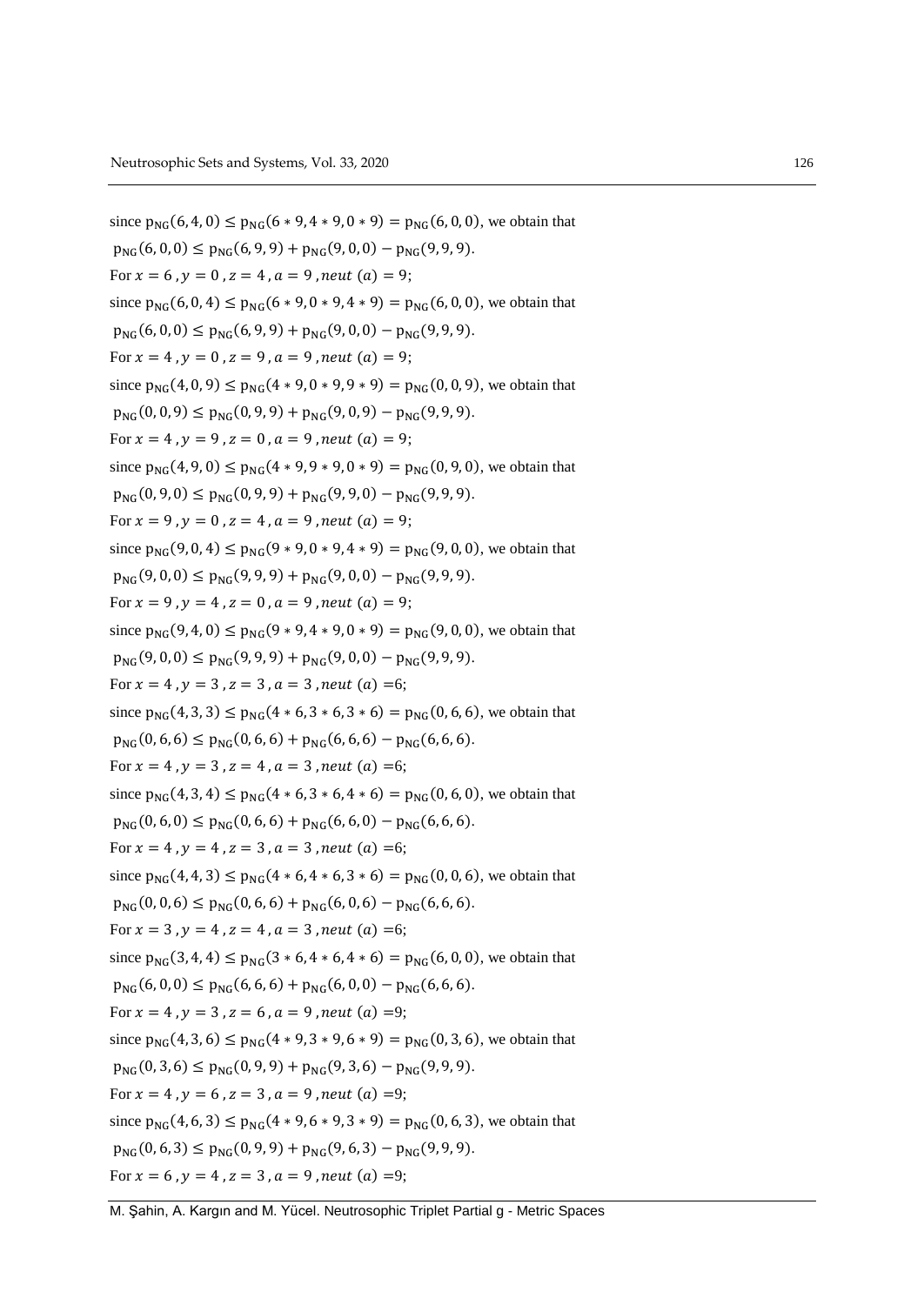since  $p_{NC}(6, 4, 0) \leq p_{NC}(6 * 9, 4 * 9, 0 * 9) = p_{NC}(6, 0, 0)$ , we obtain that  $p_{NG}(6, 0, 0) \leq p_{NG}(6, 9, 9) + p_{NG}(9, 0, 0) - p_{NG}(9, 9, 9).$ For  $x = 6$ ,  $y = 0$ ,  $z = 4$ ,  $a = 9$ , neut  $(a) = 9$ ; since  $p_{NG}(6, 0, 4) \le p_{NG}(6 * 9, 0 * 9, 4 * 9) = p_{NG}(6, 0, 0)$ , we obtain that  $p_{NG}(6, 0, 0) \le p_{NG}(6, 9, 9) + p_{NG}(9, 0, 0) - p_{NG}(9, 9, 9).$ For  $x = 4$ ,  $y = 0$ ,  $z = 9$ ,  $a = 9$ , neut  $(a) = 9$ ; since  $p_{NG}(4, 0, 9) \le p_{NG}(4 \times 9, 0 \times 9, 9 \times 9) = p_{NG}(0, 0, 9)$ , we obtain that  $p_{NG}(0, 0, 9) \leq p_{NG}(0, 9, 9) + p_{NG}(9, 0, 9) - p_{NG}(9, 9, 9).$ For  $x = 4$ ,  $y = 9$ ,  $z = 0$ ,  $a = 9$ , neut  $(a) = 9$ ; since  $p_{NG}(4, 9, 0) \le p_{NG}(4 \times 9, 9 \times 9, 0 \times 9) = p_{NG}(0, 9, 0)$ , we obtain that  $p_{NG}(0, 9, 0) \le p_{NG}(0, 9, 9) + p_{NG}(9, 9, 0) - p_{NG}(9, 9, 9).$ For  $x = 9$ ,  $y = 0$ ,  $z = 4$ ,  $a = 9$ , neut  $(a) = 9$ ; since  $p_{NG}(9, 0, 4) \le p_{NG}(9 * 9, 0 * 9, 4 * 9) = p_{NG}(9, 0, 0)$ , we obtain that  $p_{NG}(9,0,0) \leq p_{NG}(9,9,9) + p_{NG}(9,0,0) - p_{NG}(9,9,9).$ For  $x = 9$ ,  $y = 4$ ,  $z = 0$ ,  $a = 9$ , neut  $(a) = 9$ ; since  $p_{NG}(9, 4, 0) \le p_{NG}(9 * 9, 4 * 9, 0 * 9) = p_{NG}(9, 0, 0)$ , we obtain that  $p_{NG}(9,0,0) \leq p_{NG}(9,9,9) + p_{NG}(9,0,0) - p_{NG}(9,9,9).$ For  $x = 4$ ,  $y = 3$ ,  $z = 3$ ,  $a = 3$ , neut (a) =6; since  $p_{NG}(4, 3, 3) \le p_{NG}(4 * 6, 3 * 6, 3 * 6) = p_{NG}(0, 6, 6)$ , we obtain that  $p_{NC}(0, 6, 6) \leq p_{NC}(0, 6, 6) + p_{NC}(6, 6, 6) - p_{NC}(6, 6, 6).$ For  $x = 4$ ,  $y = 3$ ,  $z = 4$ ,  $a = 3$ , neut  $(a) = 6$ ; since  $p_{NG}(4, 3, 4) \le p_{NG}(4 * 6, 3 * 6, 4 * 6) = p_{NG}(0, 6, 0)$ , we obtain that  $p_{NG}(0, 6, 0) \le p_{NG}(0, 6, 6) + p_{NG}(6, 6, 0) - p_{NG}(6, 6, 6).$ For  $x = 4$ ,  $y = 4$ ,  $z = 3$ ,  $a = 3$ , neut (a) =6; since  $p_{NG}(4, 4, 3) \le p_{NG}(4 * 6, 4 * 6, 3 * 6) = p_{NG}(0, 0, 6)$ , we obtain that  $p_{NG}(0, 0, 6) \le p_{NG}(0, 6, 6) + p_{NG}(6, 0, 6) - p_{NG}(6, 6, 6).$ For  $x = 3$ ,  $y = 4$ ,  $z = 4$ ,  $a = 3$ , neut (a) =6; since  $p_{NG}(3, 4, 4) \le p_{NG}(3 * 6, 4 * 6, 4 * 6) = p_{NG}(6, 0, 0)$ , we obtain that  $p_{NG}(6, 0, 0) \leq p_{NG}(6, 6, 6) + p_{NG}(6, 0, 0) - p_{NG}(6, 6, 6).$ For  $x = 4$ ,  $y = 3$ ,  $z = 6$ ,  $a = 9$ , neut  $(a) = 9$ ; since  $p_{NC}(4, 3, 6) \leq p_{NC}(4 \times 9, 3 \times 9, 6 \times 9) = p_{NC}(0, 3, 6)$ , we obtain that  $p_{NG}(0, 3, 6) \le p_{NG}(0, 9, 9) + p_{NG}(9, 3, 6) - p_{NG}(9, 9, 9).$ For  $x = 4$ ,  $y = 6$ ,  $z = 3$ ,  $a = 9$ , neut (a) =9; since  $p_{NG}(4, 6, 3) \le p_{NG}(4 * 9, 6 * 9, 3 * 9) = p_{NG}(0, 6, 3)$ , we obtain that  $p_{NG}(0, 6, 3) \leq p_{NG}(0, 9, 9) + p_{NG}(9, 6, 3) - p_{NG}(9, 9, 9).$ For  $x = 6$ ,  $y = 4$ ,  $z = 3$ ,  $a = 9$ , neut  $(a) = 9$ ;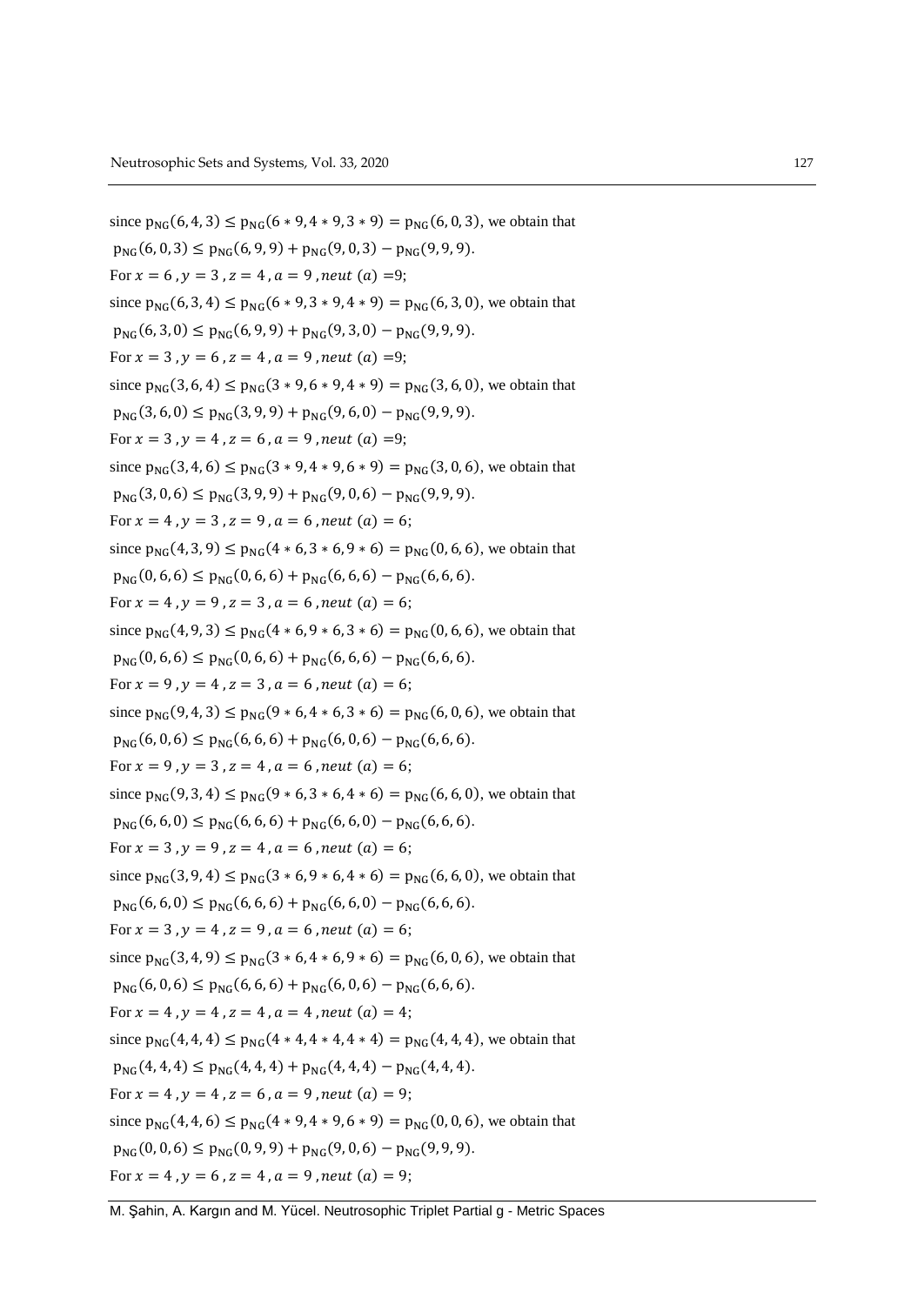since  $p_{NC}(6, 4, 3) \leq p_{NC}(6 * 9, 4 * 9, 3 * 9) = p_{NC}(6, 0, 3)$ , we obtain that  $p_{NG}(6, 0, 3) \leq p_{NG}(6, 9, 9) + p_{NG}(9, 0, 3) - p_{NG}(9, 9, 9).$ For  $x = 6$ ,  $y = 3$ ,  $z = 4$ ,  $a = 9$ , neut  $(a) = 9$ ; since  $p_{NG}(6, 3, 4) \le p_{NG}(6 * 9, 3 * 9, 4 * 9) = p_{NG}(6, 3, 0)$ , we obtain that  $p_{NG}(6,3,0) \le p_{NG}(6,9,9) + p_{NG}(9,3,0) - p_{NG}(9,9,9).$ For  $x = 3$ ,  $y = 6$ ,  $z = 4$ ,  $a = 9$ , neut  $(a) = 9$ ; since  $p_{NG}(3, 6, 4) \le p_{NG}(3 * 9, 6 * 9, 4 * 9) = p_{NG}(3, 6, 0)$ , we obtain that  $p_{NG}(3, 6, 0) \leq p_{NG}(3, 9, 9) + p_{NG}(9, 6, 0) - p_{NG}(9, 9, 9).$ For  $x = 3$ ,  $y = 4$ ,  $z = 6$ ,  $a = 9$ , neut (a) =9; since  $p_{NG}(3, 4, 6) \le p_{NG}(3 * 9, 4 * 9, 6 * 9) = p_{NG}(3, 0, 6)$ , we obtain that  $p_{NG}(3, 0, 6) \le p_{NG}(3, 9, 9) + p_{NG}(9, 0, 6) - p_{NG}(9, 9, 9).$ For  $x = 4$ ,  $y = 3$ ,  $z = 9$ ,  $a = 6$ , neut  $(a) = 6$ ; since  $p_{NG}(4, 3, 9) \le p_{NG}(4 * 6, 3 * 6, 9 * 6) = p_{NG}(0, 6, 6)$ , we obtain that  $p_{NG}(0, 6, 6) \le p_{NG}(0, 6, 6) + p_{NG}(6, 6, 6) - p_{NG}(6, 6, 6).$ For  $x = 4$ ,  $y = 9$ ,  $z = 3$ ,  $a = 6$ , neut  $(a) = 6$ ; since  $p_{NG}(4, 9, 3) \le p_{NG}(4 * 6, 9 * 6, 3 * 6) = p_{NG}(0, 6, 6)$ , we obtain that  $p_{NG}(0, 6, 6) \le p_{NG}(0, 6, 6) + p_{NG}(6, 6, 6) - p_{NG}(6, 6, 6).$ For  $x = 9$ ,  $y = 4$ ,  $z = 3$ ,  $a = 6$ , neut  $(a) = 6$ ; since  $p_{NG}(9, 4, 3) \le p_{NG}(9 * 6, 4 * 6, 3 * 6) = p_{NG}(6, 0, 6)$ , we obtain that  $p_{NC}(6, 0, 6) \leq p_{NC}(6, 6, 6) + p_{NC}(6, 0, 6) - p_{NC}(6, 6, 6).$ For  $x = 9$ ,  $y = 3$ ,  $z = 4$ ,  $a = 6$ , neut  $(a) = 6$ ; since  $p_{NG}(9, 3, 4) \le p_{NG}(9 * 6, 3 * 6, 4 * 6) = p_{NG}(6, 6, 0)$ , we obtain that  $p_{NG}(6, 6, 0) \le p_{NG}(6, 6, 6) + p_{NG}(6, 6, 0) - p_{NG}(6, 6, 6).$ For  $x = 3$ ,  $y = 9$ ,  $z = 4$ ,  $a = 6$ , neut  $(a) = 6$ ; since  $p_{NG}(3, 9, 4) \le p_{NG}(3 * 6, 9 * 6, 4 * 6) = p_{NG}(6, 6, 0)$ , we obtain that  $p_{NG}(6, 6, 0) \le p_{NG}(6, 6, 6) + p_{NG}(6, 6, 0) - p_{NG}(6, 6, 6).$ For  $x = 3$ ,  $y = 4$ ,  $z = 9$ ,  $a = 6$ , neut  $(a) = 6$ ; since  $p_{NG}(3, 4, 9) \le p_{NG}(3 * 6, 4 * 6, 9 * 6) = p_{NG}(6, 0, 6)$ , we obtain that  $p_{NG}(6, 0, 6) \leq p_{NG}(6, 6, 6) + p_{NG}(6, 0, 6) - p_{NG}(6, 6, 6).$ For  $x = 4$ ,  $y = 4$ ,  $z = 4$ ,  $a = 4$ , neut  $(a) = 4$ ; since  $p_{NG}(4, 4, 4) \leq p_{NG}(4 * 4, 4 * 4, 4 * 4) = p_{NG}(4, 4, 4)$ , we obtain that  $p_{NG}(4, 4, 4) \leq p_{NG}(4, 4, 4) + p_{NG}(4, 4, 4) - p_{NG}(4, 4, 4).$ For  $x = 4$ ,  $y = 4$ ,  $z = 6$ ,  $a = 9$ , neut  $(a) = 9$ ; since  $p_{NG}(4, 4, 6) \le p_{NG}(4 * 9, 4 * 9, 6 * 9) = p_{NG}(0, 0, 6)$ , we obtain that  $p_{NC}(0, 0, 6) \leq p_{NC}(0, 9, 9) + p_{NC}(9, 0, 6) - p_{NC}(9, 9, 9).$ For  $x = 4$ ,  $y = 6$ ,  $z = 4$ ,  $a = 9$ , neut  $(a) = 9$ ;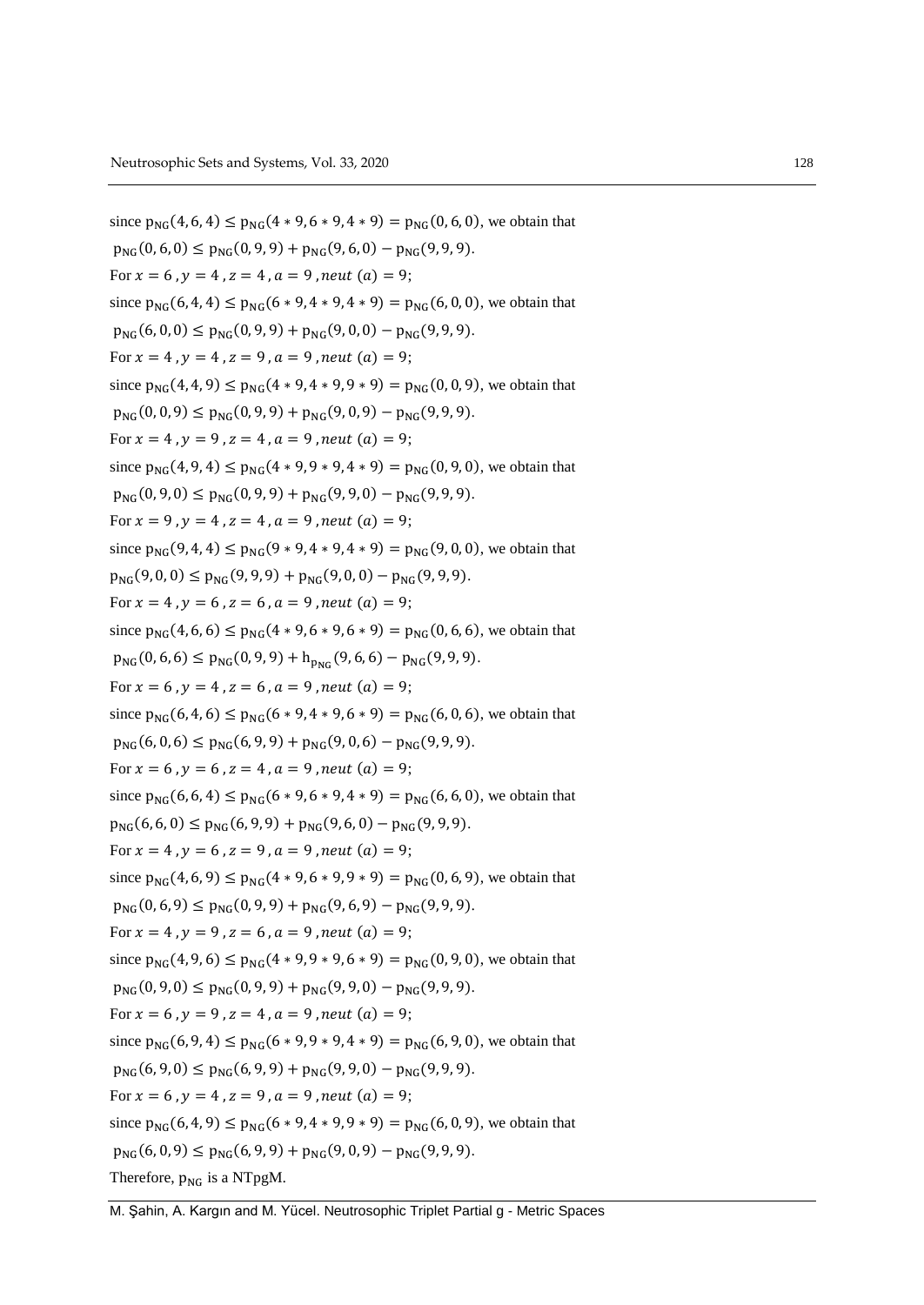since  $p_{NC}(4, 6, 4) \leq p_{NC}(4 \times 9, 6 \times 9, 4 \times 9) = p_{NC}(0, 6, 0)$ , we obtain that  $p_{NG}(0, 6, 0) \leq p_{NG}(0, 9, 9) + p_{NG}(9, 6, 0) - p_{NG}(9, 9, 9).$ For  $x = 6$ ,  $y = 4$ ,  $z = 4$ ,  $a = 9$ , neut  $(a) = 9$ ; since  $p_{NG}(6, 4, 4) \le p_{NG}(6 * 9, 4 * 9, 4 * 9) = p_{NG}(6, 0, 0)$ , we obtain that  $p_{NG}(6, 0, 0) \le p_{NG}(0, 9, 9) + p_{NG}(9, 0, 0) - p_{NG}(9, 9, 9).$ For  $x = 4$ ,  $y = 4$ ,  $z = 9$ ,  $a = 9$ , neut  $(a) = 9$ ; since  $p_{NG}(4, 4, 9) \le p_{NG}(4 * 9, 4 * 9, 9 * 9) = p_{NG}(0, 0, 9)$ , we obtain that  $p_{NG}(0, 0, 9) \leq p_{NG}(0, 9, 9) + p_{NG}(9, 0, 9) - p_{NG}(9, 9, 9).$ For  $x = 4$ ,  $y = 9$ ,  $z = 4$ ,  $a = 9$ , neut  $(a) = 9$ ; since  $p_{NG}(4, 9, 4) \le p_{NG}(4 \times 9, 9 \times 9, 4 \times 9) = p_{NG}(0, 9, 0)$ , we obtain that  $p_{NC}(0, 9, 0) \leq p_{NC}(0, 9, 9) + p_{NC}(9, 9, 0) - p_{NC}(9, 9, 9).$ For  $x = 9$ ,  $y = 4$ ,  $z = 4$ ,  $a = 9$ , neut  $(a) = 9$ ; since  $p_{NG}(9, 4, 4) \le p_{NG}(9 * 9, 4 * 9, 4 * 9) = p_{NG}(9, 0, 0)$ , we obtain that  $p_{NG}(9,0,0) \leq p_{NG}(9,9,9) + p_{NG}(9,0,0) - p_{NG}(9,9,9).$ For  $x = 4$ ,  $y = 6$ ,  $z = 6$ ,  $a = 9$ , neut  $(a) = 9$ ; since  $p_{NG}(4, 6, 6) \le p_{NG}(4 * 9, 6 * 9, 6 * 9) = p_{NG}(0, 6, 6)$ , we obtain that  $p_{NG}(0, 6, 6) \le p_{NG}(0, 9, 9) + h_{DMC}(9, 6, 6) - p_{NG}(9, 9, 9).$ For  $x = 6$ ,  $y = 4$ ,  $z = 6$ ,  $a = 9$ , neut  $(a) = 9$ ; since  $p_{NG}(6, 4, 6) \le p_{NG}(6 * 9, 4 * 9, 6 * 9) = p_{NG}(6, 0, 6)$ , we obtain that  $p_{NG}(6, 0, 6) \le p_{NG}(6, 9, 9) + p_{NG}(9, 0, 6) - p_{NG}(9, 9, 9).$ For  $x = 6$ ,  $y = 6$ ,  $z = 4$ ,  $a = 9$ , neut  $(a) = 9$ ; since  $p_{NG}(6, 6, 4) \le p_{NG}(6 * 9, 6 * 9, 4 * 9) = p_{NG}(6, 6, 0)$ , we obtain that  $p_{NG}(6, 6, 0) \le p_{NG}(6, 9, 9) + p_{NG}(9, 6, 0) - p_{NG}(9, 9, 9).$ For  $x = 4$ ,  $y = 6$ ,  $z = 9$ ,  $a = 9$ , neut  $(a) = 9$ ; since  $p_{NG}(4, 6, 9) \le p_{NG}(4 * 9, 6 * 9, 9 * 9) = p_{NG}(0, 6, 9)$ , we obtain that  $p_{NG}(0, 6, 9) \le p_{NG}(0, 9, 9) + p_{NG}(9, 6, 9) - p_{NG}(9, 9, 9).$ For  $x = 4$ ,  $y = 9$ ,  $z = 6$ ,  $a = 9$ , neut  $(a) = 9$ ; since  $p_{NG}(4, 9, 6) \le p_{NG}(4 * 9, 9 * 9, 6 * 9) = p_{NG}(0, 9, 0)$ , we obtain that  $p_{NG}(0, 9, 0) \leq p_{NG}(0, 9, 9) + p_{NG}(9, 9, 0) - p_{NG}(9, 9, 9).$ For  $x = 6$ ,  $y = 9$ ,  $z = 4$ ,  $a = 9$ , neut  $(a) = 9$ ; since  $p_{NG}(6, 9, 4) \le p_{NG}(6 * 9, 9 * 9, 4 * 9) = p_{NG}(6, 9, 0)$ , we obtain that  $p_{NG}(6, 9, 0) \le p_{NG}(6, 9, 9) + p_{NG}(9, 9, 0) - p_{NG}(9, 9, 9).$ For  $x = 6$ ,  $y = 4$ ,  $z = 9$ ,  $a = 9$ , neut  $(a) = 9$ ; since  $p_{NG}(6, 4, 9) \le p_{NG}(6 * 9, 4 * 9, 9 * 9) = p_{NG}(6, 0, 9)$ , we obtain that  $p_{NG}(6, 0, 9) \leq p_{NG}(6, 9, 9) + p_{NG}(9, 0, 9) - p_{NG}(9, 9, 9).$ Therefore,  $p_{NG}$  is a NTpgM.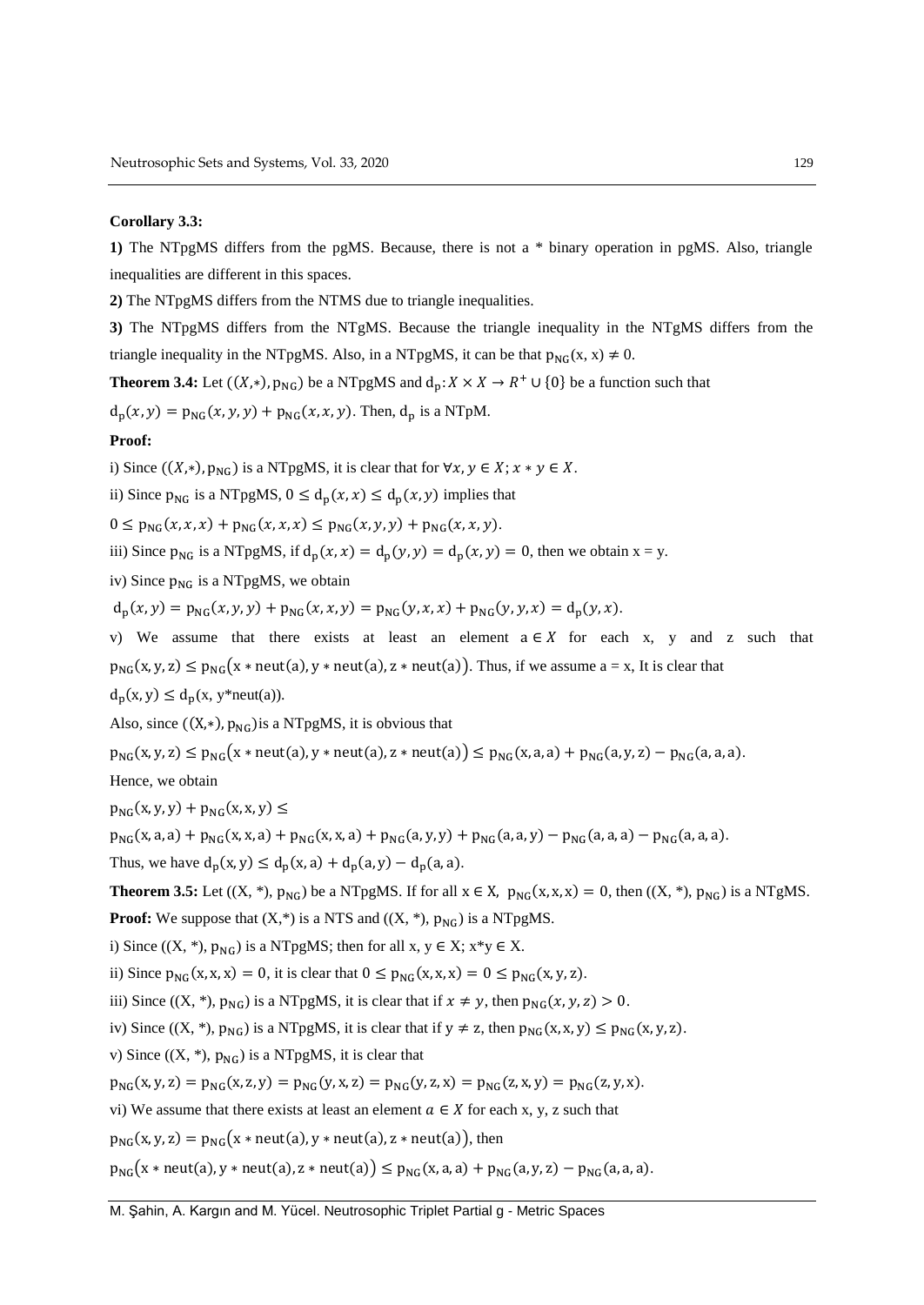#### **Corollary 3.3:**

**1)** The NTpgMS differs from the pgMS. Because, there is not a \* binary operation in pgMS. Also, triangle inequalities are different in this spaces.

**2)** The NTpgMS differs from the NTMS due to triangle inequalities.

**3)** The NTpgMS differs from the NTgMS. Because the triangle inequality in the NTgMS differs from the triangle inequality in the NTpgMS. Also, in a NTpgMS, it can be that  $p_{NG}(x, x) \neq 0$ .

**Theorem 3.4:** Let  $((X, *)$ ,  $p_{NG})$  be a NTpgMS and  $d_p: X \times X \to R^+ \cup \{0\}$  be a function such that

 $d_p(x, y) = p_{NG}(x, y, y) + p_{NG}(x, x, y)$ . Then,  $d_p$  is a NTpM.

#### **Proof:**

i) Since  $((X, *)$ ,  $p_{NG})$  is a NTpgMS, it is clear that for  $\forall x, y \in X$ ;  $x * y \in X$ .

ii) Since  $p_{NG}$  is a NTpgMS,  $0 \le d_n(x, x) \le d_n(x, y)$  implies that

 $0 \leq p_{NC}(x, x, x) + p_{NC}(x, x, x) \leq p_{NC}(x, y, y) + p_{NC}(x, x, y).$ 

iii) Since  $p_{NG}$  is a NTpgMS, if  $d_p(x, x) = d_p(y, y) = d_p(x, y) = 0$ , then we obtain  $x = y$ .

iv) Since  $p_{NG}$  is a NTpgMS, we obtain

 $d_{p}(x, y) = p_{NG}(x, y, y) + p_{NG}(x, x, y) = p_{NG}(y, x, x) + p_{NG}(y, y, x) = d_{p}(y, x).$ 

v) We assume that there exists at least an element  $a \in X$  for each x, y and z such that  $p_{NG}(x, y, z) \le p_{NG}(x \ast \text{neut}(a), y \ast \text{neut}(a), z \ast \text{neut}(a))$ . Thus, if we assume  $a = x$ , It is clear that  $d_p(x, y) \leq d_p(x, y^*neut(a)).$ 

Also, since  $((X,*)$ ,  $p_{NG})$  is a NTpgMS, it is obvious that

 $p_{NG}(x, y, z) \leq p_{NG}(x * neut(a), y * neut(a), z * neut(a)) \leq p_{NG}(x, a, a) + p_{NG}(a, y, z) - p_{NG}(a, a, a).$ 

Hence, we obtain

 $p_{NG}(x, y, y) + p_{NG}(x, x, y) \le$ 

 $p_{NG}(x, a, a) + p_{NG}(x, x, a) + p_{NG}(x, x, a) + p_{NG}(a, y, y) + p_{NG}(a, a, y) - p_{NG}(a, a, a) - p_{NG}(a, a, a).$ 

Thus, we have  $d_p(x, y) \le d_p(x, a) + d_p(a, y) - d_p(a, a)$ .

**Theorem 3.5:** Let  $((X, *), p_{NC})$  be a NTpgMS. If for all  $x \in X$ ,  $p_{NC}(x, x, x) = 0$ , then  $((X, *), p_{NC})$  is a NTgMS.

**Proof:** We suppose that  $(X,*)$  is a NTS and  $((X, *), p_{NG})$  is a NTpgMS.

i) Since  $((X, *), p_{NG})$  is a NTpgMS; then for all  $x, y \in X$ ;  $x * y \in X$ .

ii) Since  $p_{NG}(x, x, x) = 0$ , it is clear that  $0 \le p_{NG}(x, x, x) = 0 \le p_{NG}(x, y, z)$ .

iii) Since  $((X, *), p_{NG})$  is a NTpgMS, it is clear that if  $x \neq y$ , then  $p_{NG}(x, y, z) > 0$ .

iv) Since  $((X, *), p_{NG})$  is a NTpgMS, it is clear that if  $y \neq z$ , then  $p_{NG}(x, x, y) \leq p_{NG}(x, y, z)$ .

v) Since  $((X, *), p_{NG})$  is a NTpgMS, it is clear that

 $p_{NG}(x, y, z) = p_{NG}(x, z, y) = p_{NG}(y, x, z) = p_{NG}(y, z, x) = p_{NG}(z, x, y) = p_{NG}(z, y, x).$ 

vi) We assume that there exists at least an element  $a \in X$  for each x, y, z such that

 $p_{NG}(x, y, z) = p_{NG}(x * neut(a), y * neut(a), z * neut(a)),$  then

 $p_{NG}(x * neut(a), y * neut(a), z * neut(a)) \leq p_{NG}(x, a, a) + p_{NG}(a, y, z) - p_{NG}(a, a, a).$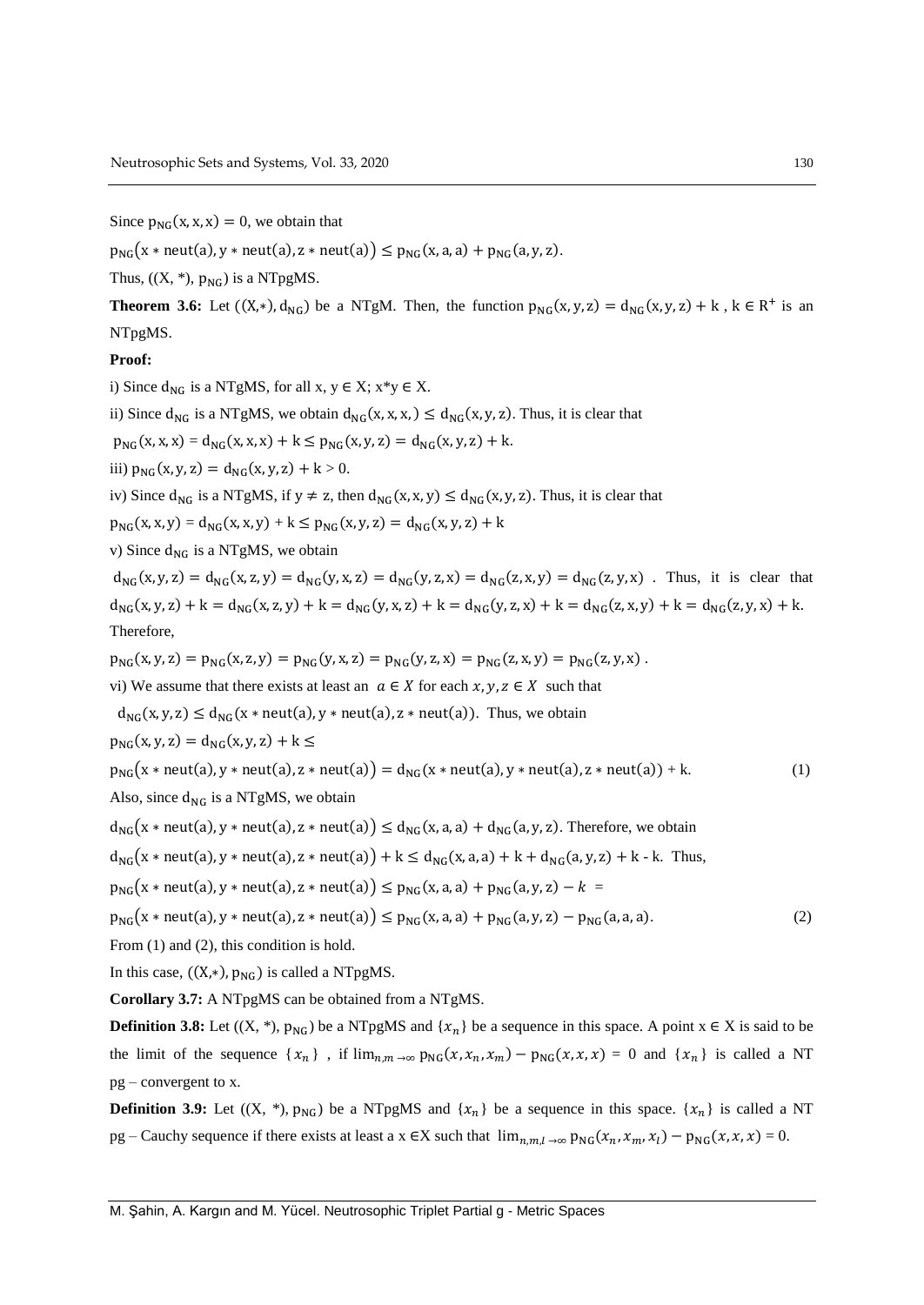Since  $p_{NG}(x, x, x) = 0$ , we obtain that

 $p_{NG}(x * neut(a), y * neut(a), z * neut(a)) \leq p_{NG}(x, a, a) + p_{NG}(a, y, z).$ 

Thus,  $((X, *), p_{NG})$  is a NTpgMS.

**Theorem 3.6:** Let  $((X,*)$ ,  $d_{NG})$  be a NTgM. Then, the function  $p_{NG}(x, y, z) = d_{NG}(x, y, z) + k$ ,  $k \in R^+$  is an NTpgMS.

#### **Proof:**

i) Since  $d_{NG}$  is a NTgMS, for all x,  $y \in X$ ;  $x*y \in X$ .

ii) Since  $d_{NG}$  is a NTgMS, we obtain  $d_{NG}(x, x, x) \leq d_{NG}(x, y, z)$ . Thus, it is clear that

 $p_{NG}(x, x, x) = d_{NG}(x, x, x) + k \leq p_{NG}(x, y, z) = d_{NG}(x, y, z) + k.$ 

iii)  $p_{NG}(x, y, z) = d_{NG}(x, y, z) + k > 0.$ 

iv) Since  $d_{NG}$  is a NTgMS, if  $y \neq z$ , then  $d_{NG}(x, x, y) \leq d_{NG}(x, y, z)$ . Thus, it is clear that

 $p_{NG}(x, x, y) = d_{NG}(x, x, y) + k \leq p_{NG}(x, y, z) = d_{NG}(x, y, z) + k$ 

v) Since  $d_{NG}$  is a NTgMS, we obtain

 $d_{NG}(x, y, z) = d_{NG}(x, z, y) = d_{NG}(y, x, z) = d_{NG}(y, z, x) = d_{NG}(z, x, y) = d_{NG}(z, y, x)$ . Thus, it is clear that  $d_{NG}(x, y, z) + k = d_{NG}(x, z, y) + k = d_{NG}(y, x, z) + k = d_{NG}(y, z, x) + k = d_{NG}(z, x, y) + k = d_{NG}(z, y, x) + k.$ Therefore,

 $p_{NG}(x, y, z) = p_{NG}(x, z, y) = p_{NG}(y, x, z) = p_{NG}(y, z, x) = p_{NG}(z, x, y) = p_{NG}(z, y, x)$ .

vi) We assume that there exists at least an  $\alpha \in X$  for each  $x, y, z \in X$  such that

 $d_{NG}(x, y, z) \le d_{NG}(x * neut(a), y * neut(a), z * neut(a)).$  Thus, we obtain

 $p_{NG}(x, y, z) = d_{NG}(x, y, z) + k \leq$ 

$$
p_{NG}(x * neut(a), y * neut(a), z * neut(a)) = d_{NG}(x * neut(a), y * neut(a), z * neut(a)) + k.
$$
 (1)

Also, since  $d_{NG}$  is a NTgMS, we obtain

 $d_{NG}(x * neut(a), y * neut(a), z * neut(a)) \le d_{NG}(x, a, a) + d_{NG}(a, y, z)$ . Therefore, we obtain

 $d_{\text{NG}}(x * \text{neut}(a), y * \text{neut}(a), z * \text{neut}(a)) + k \leq d_{\text{NG}}(x, a, a) + k + d_{\text{NG}}(a, y, z) + k - k$ . Thus,

 $p_{NG}(x * neut(a), y * neut(a), z * neut(a)) \leq p_{NG}(x, a, a) + p_{NG}(a, y, z) - k$ 

$$
p_{NG}(x * neut(a), y * neut(a), z * neut(a)) \le p_{NG}(x, a, a) + p_{NG}(a, y, z) - p_{NG}(a, a, a). \tag{2}
$$

From  $(1)$  and  $(2)$ , this condition is hold.

In this case,  $((X,*)$ ,  $p_{NG})$  is called a NTpgMS.

**Corollary 3.7:** A NTpgMS can be obtained from a NTgMS.

**Definition 3.8:** Let  $((X, *), p_{NG})$  be a NTpgMS and  $\{x_n\}$  be a sequence in this space. A point  $x \in X$  is said to be the limit of the sequence  $\{x_n\}$ , if  $\lim_{n,m\to\infty} p_{NG}(x,x_n,x_m) - p_{NG}(x,x,x) = 0$  and  $\{x_n\}$  is called a NT pg – convergent to x.

**Definition 3.9:** Let  $((X, *), p_{NG})$  be a NTpgMS and  $\{x_n\}$  be a sequence in this space.  $\{x_n\}$  is called a NT pg – Cauchy sequence if there exists at least a  $x \in X$  such that  $\lim_{n,m,l \to \infty} p_{NG}(x_n, x_m, x_l) - p_{NG}(x, x, x) = 0$ .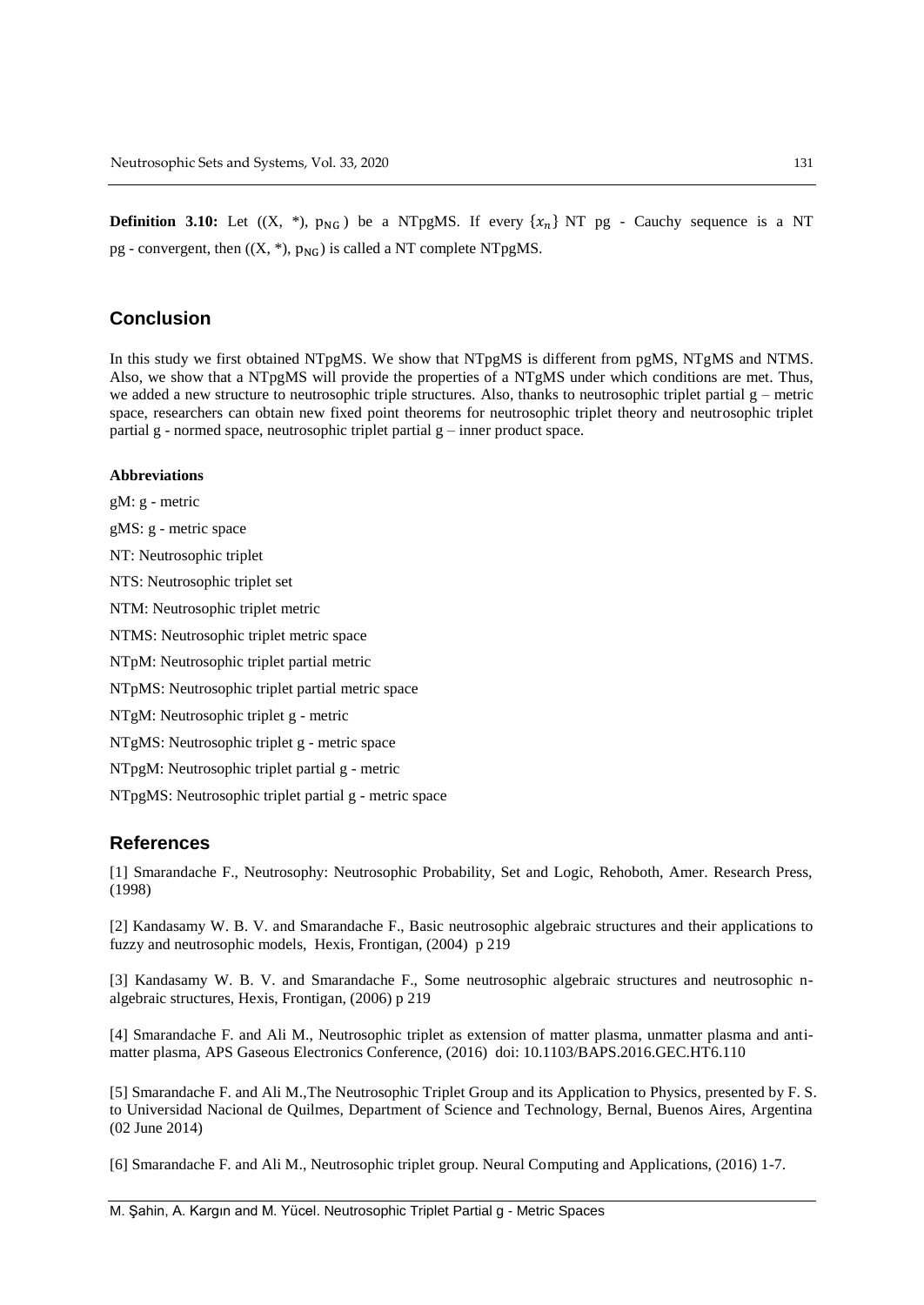**Definition 3.10:** Let  $((X, *), p_{NG})$  be a NTpgMS. If every  $\{x_n\}$  NT pg - Cauchy sequence is a NT pg - convergent, then  $((X, *), p_{NG})$  is called a NT complete NTpgMS.

# **Conclusion**

In this study we first obtained NTpgMS. We show that NTpgMS is different from pgMS, NTgMS and NTMS. Also, we show that a NTpgMS will provide the properties of a NTgMS under which conditions are met. Thus, we added a new structure to neutrosophic triple structures. Also, thanks to neutrosophic triplet partial  $g$  – metric space, researchers can obtain new fixed point theorems for neutrosophic triplet theory and neutrosophic triplet partial g - normed space, neutrosophic triplet partial g – inner product space.

#### **Abbreviations**

gM: g - metric gMS: g - metric space NT: Neutrosophic triplet NTS: Neutrosophic triplet set NTM: Neutrosophic triplet metric NTMS: Neutrosophic triplet metric space NTpM: Neutrosophic triplet partial metric NTpMS: Neutrosophic triplet partial metric space NTgM: Neutrosophic triplet g - metric NTgMS: Neutrosophic triplet g - metric space NTpgM: Neutrosophic triplet partial g - metric NTpgMS: Neutrosophic triplet partial g - metric space

## **References**

[1] Smarandache F., Neutrosophy: Neutrosophic Probability, Set and Logic, Rehoboth, Amer. Research Press, (1998)

[2] Kandasamy W. B. V. and Smarandache F., Basic neutrosophic algebraic structures and their applications to fuzzy and neutrosophic models, Hexis, Frontigan, (2004) p 219

[3] Kandasamy W. B. V. and Smarandache F., Some neutrosophic algebraic structures and neutrosophic nalgebraic structures, Hexis, Frontigan, (2006) p 219

[4] Smarandache F. and Ali M., Neutrosophic triplet as extension of matter plasma, unmatter plasma and antimatter plasma, APS Gaseous Electronics Conference, (2016) doi: 10.1103/BAPS.2016.GEC.HT6.110

[5] Smarandache F. and Ali M.,The Neutrosophic Triplet Group and its Application to Physics, presented by F. S. to Universidad Nacional de Quilmes, Department of Science and Technology, Bernal, Buenos Aires, Argentina (02 June 2014)

[6] Smarandache F. and Ali M., Neutrosophic triplet group. Neural Computing and Applications, (2016) 1-7.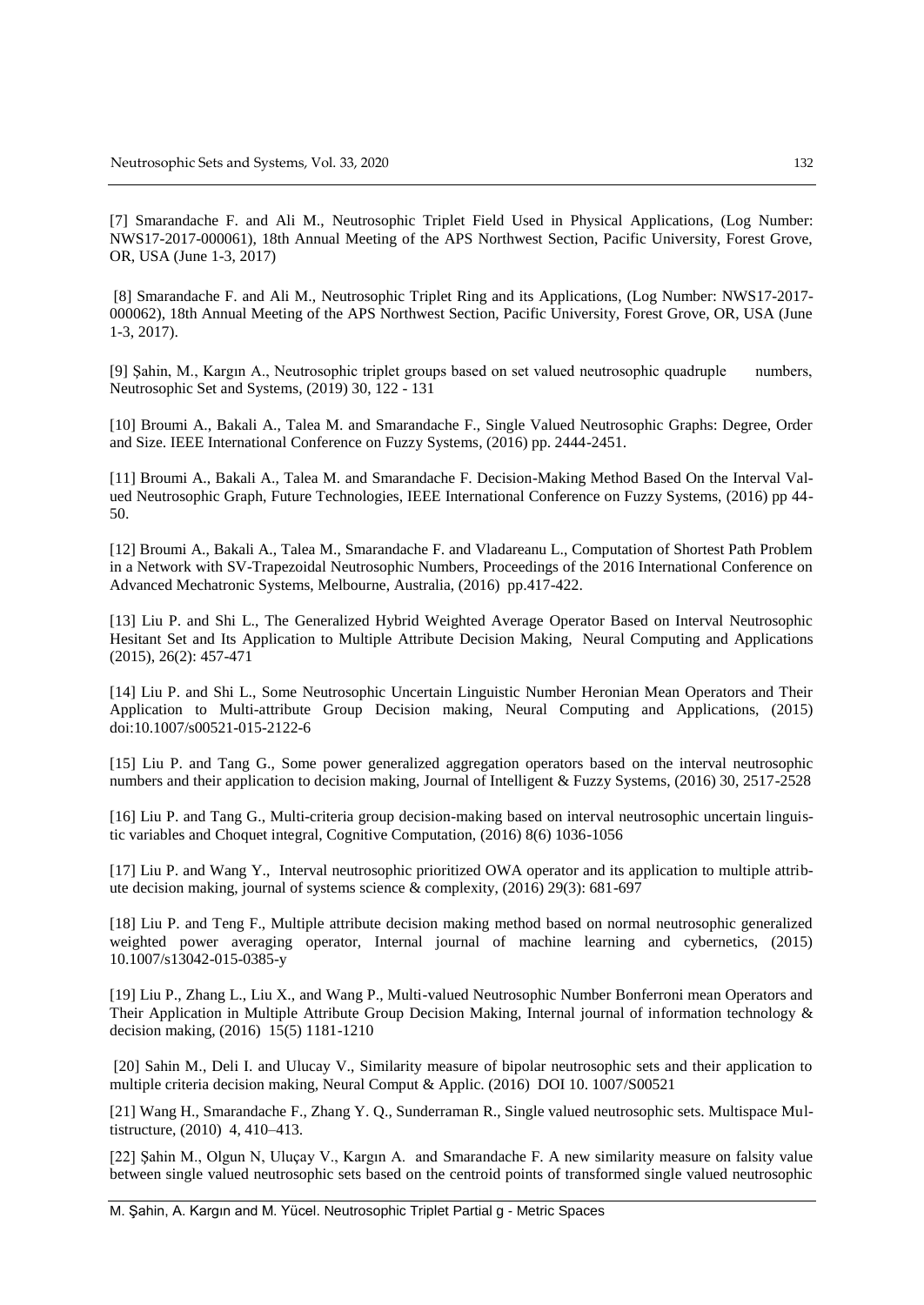[7] Smarandache F. and Ali M., Neutrosophic Triplet Field Used in Physical Applications, (Log Number: NWS17-2017-000061), 18th Annual Meeting of the APS Northwest Section, Pacific University, Forest Grove, OR, USA (June 1-3, 2017)

[8] Smarandache F. and Ali M., Neutrosophic Triplet Ring and its Applications, (Log Number: NWS17-2017- 000062), 18th Annual Meeting of the APS Northwest Section, Pacific University, Forest Grove, OR, USA (June 1-3, 2017).

[9] Şahin, M., Kargın A., Neutrosophic triplet groups based on set valued neutrosophic quadruple numbers, Neutrosophic Set and Systems, (2019) 30, 122 - 131

[10] Broumi A., Bakali A., Talea M. and Smarandache F., Single Valued Neutrosophic Graphs: Degree, Order and Size. IEEE International Conference on Fuzzy Systems, (2016) pp. 2444-2451.

[11] Broumi A., Bakali A., Talea M. and Smarandache F. Decision-Making Method Based On the Interval Valued Neutrosophic Graph, Future Technologies, IEEE International Conference on Fuzzy Systems, (2016) pp 44- 50.

[12] Broumi A., Bakali A., Talea M., Smarandache F. and Vladareanu L., Computation of Shortest Path Problem in a Network with SV-Trapezoidal Neutrosophic Numbers, Proceedings of the 2016 International Conference on Advanced Mechatronic Systems, Melbourne, Australia, (2016) pp.417-422.

[13] [Liu](https://www.researchgate.net/profile/Peide_Liu3) P. and [Shi](https://www.researchgate.net/scientific-contributions/2068623407_Lanlan_Shi) L., The Generalized Hybrid Weighted Average Operator Based on Interval Neutrosophic Hesitant Set and Its Application to Multiple Attribute Decision Making, Neural Computing and Applications (2015), 26(2): 457-471

[14] [Liu](https://www.researchgate.net/profile/Peide_Liu3) P. and [Shi](https://www.researchgate.net/scientific-contributions/2068623407_Lanlan_Shi) L., Some Neutrosophic Uncertain Linguistic Number Heronian Mean Operators and Their Application to Multi-attribute Group Decision making, Neural Computing and Applications, (2015) doi:10.1007/s00521-015-2122-6

[15] [Liu](https://scholar.google.com.tr/citations?user=kB0nlC0AAAAJ&hl=tr&oi=sra) P. and Tang G., Some power generalized aggregation operators based on the interval neutrosophic numbers and their application to decision making, Journal of Intelligent & Fuzzy Systems, (2016) 30, 2517-2528

[16] [Liu](https://scholar.google.com.tr/citations?user=kB0nlC0AAAAJ&hl=tr&oi=sra) P. and Tang G., Multi-criteria group decision-making based on interval neutrosophic uncertain linguistic variables and Choquet integral, Cognitive Computation, (2016) 8(6) 1036-1056

[17] [Liu](https://www.researchgate.net/profile/Peide_Liu3) P. and Wang Y., Interval neutrosophic prioritized OWA operator and its application to multiple attribute decision making, journal of systems science & complexity, (2016) 29(3): 681-697

[18] [Liu](https://scholar.google.com.tr/citations?user=kB0nlC0AAAAJ&hl=tr&oi=sra) P. and Teng F., Multiple attribute decision making method based on normal neutrosophic generalized weighted power averaging operator, Internal journal of machine learning and cybernetics, (2015) 10.1007/s13042-015-0385-y

[19] [Liu](https://scholar.google.com.tr/citations?user=kB0nlC0AAAAJ&hl=tr&oi=sra) P., Zhang L., Liu X., and Wang P., Multi-valued Neutrosophic Number Bonferroni mean Operators and Their Application in Multiple Attribute Group Decision Making, Internal journal of information technology & decision making, (2016) 15(5) 1181-1210

[20] Sahin M., Deli I. and Ulucay V., Similarity measure of bipolar neutrosophic sets and their application to multiple criteria decision making, Neural Comput & Applic. (2016) DOI 10. 1007/S00521

[21] Wang H., Smarandache F., Zhang Y. Q., Sunderraman R., Single valued neutrosophic sets. Multispace Multistructure, (2010) 4, 410–413.

[22] Şahin M., Olgun N, Uluçay V., Kargın A. and Smarandache F. A new similarity measure on falsity value between single valued neutrosophic sets based on the centroid points of transformed single valued neutrosophic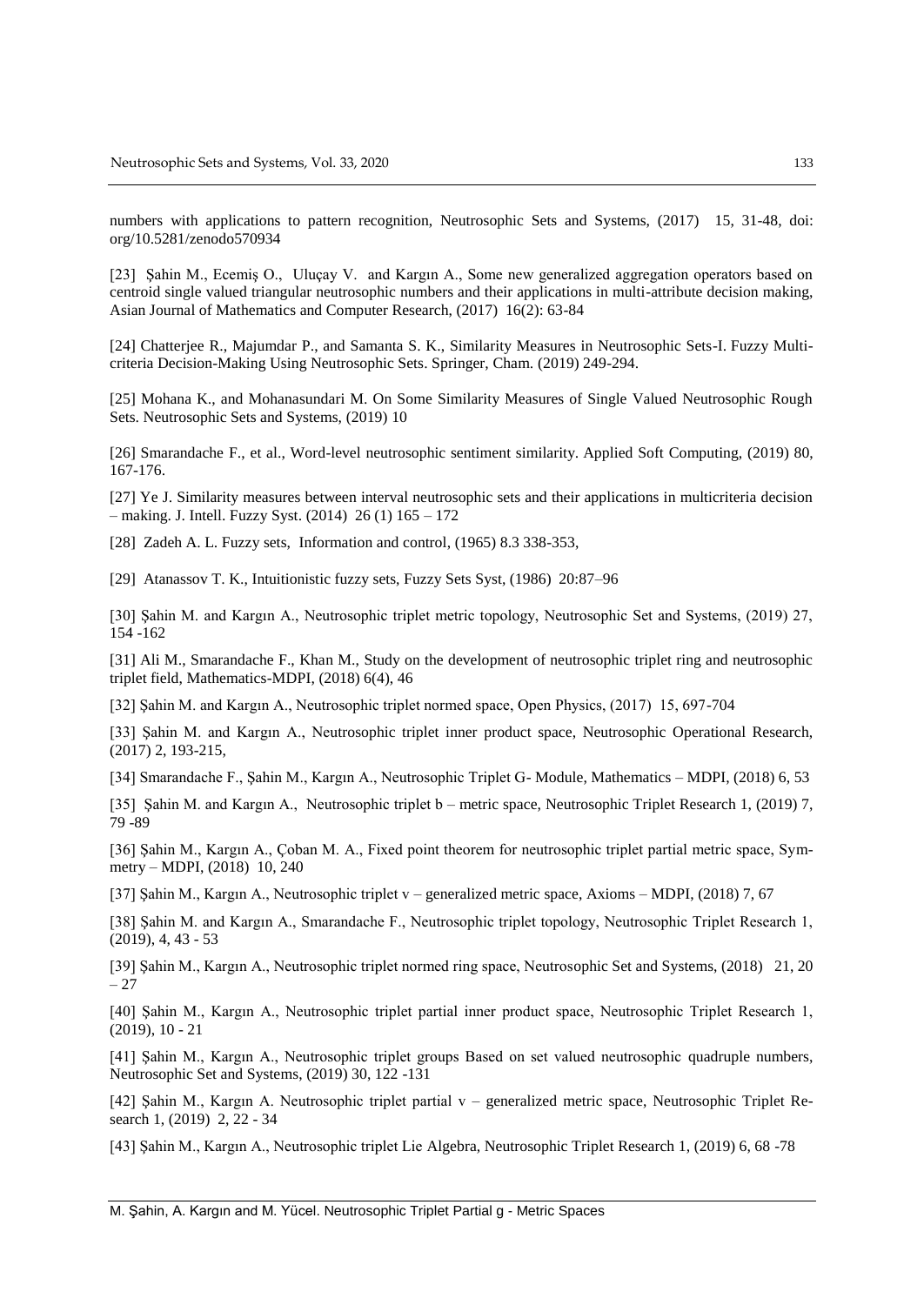numbers with applications to pattern recognition, Neutrosophic Sets and Systems, (2017) 15, 31-48, doi: org/10.5281/zenodo570934

[23] Şahin M., Ecemiş O., Uluçay V. and Kargın A., Some new generalized aggregation operators based on centroid single valued triangular neutrosophic numbers and their applications in multi-attribute decision making, Asian Journal of Mathematics and Computer Research, (2017) 16(2): 63-84

[24] Chatterjee R., Majumdar P., and Samanta S. K., Similarity Measures in Neutrosophic Sets-I. Fuzzy Multicriteria Decision-Making Using Neutrosophic Sets. Springer, Cham. (2019) 249-294.

[25] Mohana K., and Mohanasundari M. On Some Similarity Measures of Single Valued Neutrosophic Rough Sets. Neutrosophic Sets and Systems, (2019) 10

[26] Smarandache F., et al., Word-level neutrosophic sentiment similarity. Applied Soft Computing, (2019) 80, 167-176.

[27] Ye J. Similarity measures between interval neutrosophic sets and their applications in multicriteria decision – making. J. Intell. Fuzzy Syst. (2014) 26 (1) 165 – 172

[28] Zadeh A. L. Fuzzy sets, Information and control, (1965) 8.3 338-353,

[29] Atanassov T. K., Intuitionistic fuzzy sets, Fuzzy Sets Syst, (1986) 20:87–96

[30] Şahin M. and Kargın A., Neutrosophic triplet metric topology, Neutrosophic Set and Systems, (2019) 27, 154 -162

[31] Ali M., Smarandache F., Khan M., Study on the development of neutrosophic triplet ring and neutrosophic triplet field, Mathematics-MDPI, (2018) 6(4), 46

[32] Şahin M. and Kargın A., Neutrosophic triplet normed space, Open Physics, (2017) 15, 697-704

[33] Şahin M. and Kargın A., Neutrosophic triplet inner product space, Neutrosophic Operational Research, (2017) 2, 193-215,

[34] Smarandache F., Şahin M., Kargın A., Neutrosophic Triplet G- Module, Mathematics – MDPI, (2018) 6, 53

[35] Şahin M. and Kargın A., Neutrosophic triplet b – metric space, Neutrosophic Triplet Research 1, (2019) 7, 79 -89

[36] Şahin M., Kargın A., Çoban M. A., Fixed point theorem for neutrosophic triplet partial metric space, Symmetry – MDPI, (2018) 10, 240

[37] Şahin M., Kargın A., Neutrosophic triplet v – generalized metric space, Axioms – MDPI, (2018) 7, 67

[38] Şahin M. and Kargın A., Smarandache F., Neutrosophic triplet topology, Neutrosophic Triplet Research 1, (2019), 4, 43 - 53

[39] Şahin M., Kargın A., Neutrosophic triplet normed ring space, Neutrosophic Set and Systems, (2018) 21, 20 – 27

[40] Şahin M., Kargın A., Neutrosophic triplet partial inner product space, Neutrosophic Triplet Research 1, (2019), 10 - 21

[41] Şahin M., Kargın A., Neutrosophic triplet groups Based on set valued neutrosophic quadruple numbers, Neutrosophic Set and Systems, (2019) 30, 122 -131

[42] Şahin M., Kargın A. Neutrosophic triplet partial v – generalized metric space, Neutrosophic Triplet Research 1, (2019) 2, 22 - 34

[43] Şahin M., Kargın A., Neutrosophic triplet Lie Algebra, Neutrosophic Triplet Research 1, (2019) 6, 68 -78